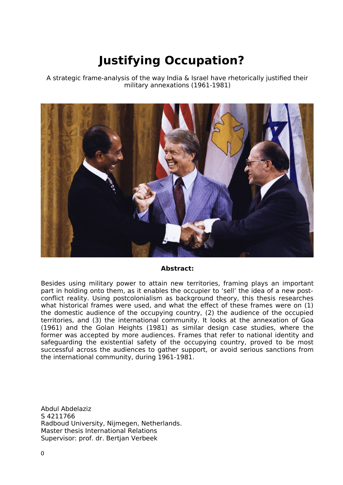# **Justifying Occupation?**

A strategic frame-analysis of the way India & Israel have rhetorically justified their military annexations (1961-1981)



#### **Abstract:**

Besides using military power to attain new territories, framing plays an important part in holding onto them, as it enables the occupier to 'sell' the idea of a new postconflict reality. Using postcolonialism as background theory, this thesis researches what historical frames were used, and what the effect of these frames were on (1) the domestic audience of the occupying country, (2) the audience of the occupied territories, and (3) the international community. It looks at the annexation of Goa (1961) and the Golan Heights (1981) as similar design case studies, where the former was accepted by more audiences. Frames that refer to national identity and safeguarding the existential safety of the occupying country, proved to be most successful across the audiences to gather support, or avoid serious sanctions from the international community, during 1961-1981.

Abdul Abdelaziz S 4211766 Radboud University, Nijmegen, Netherlands. Master thesis International Relations Supervisor: prof. dr. Bertjan Verbeek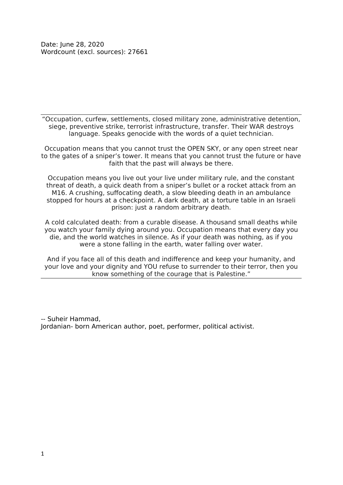"Occupation, curfew, settlements, closed military zone, administrative detention, siege, preventive strike, terrorist infrastructure, transfer. Their WAR destroys language. Speaks genocide with the words of a quiet technician.

Occupation means that you cannot trust the OPEN SKY, or any open street near to the gates of a sniper's tower. It means that you cannot trust the future or have faith that the past will always be there.

Occupation means you live out your live under military rule, and the constant threat of death, a quick death from a sniper's bullet or a rocket attack from an M16. A crushing, suffocating death, a slow bleeding death in an ambulance stopped for hours at a checkpoint. A dark death, at a torture table in an Israeli prison: just a random arbitrary death.

A cold calculated death: from a curable disease. A thousand small deaths while you watch your family dying around you. Occupation means that every day you die, and the world watches in silence. As if your death was nothing, as if you were a stone falling in the earth, water falling over water.

And if you face all of this death and indifference and keep your humanity, and your love and your dignity and YOU refuse to surrender to their terror, then you know something of the courage that is Palestine."

-- Suheir Hammad, Jordanian- born American author, poet, performer, political activist.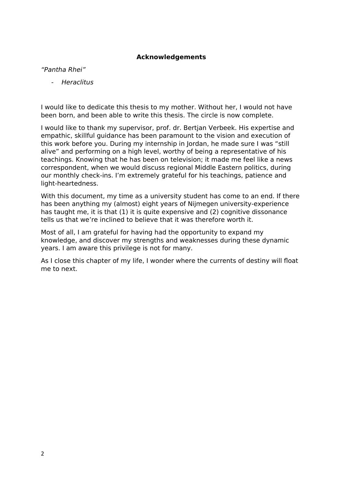#### **Acknowledgements**

#### "Pantha Rhei"

- Heraclitus

I would like to dedicate this thesis to my mother. Without her, I would not have been born, and been able to write this thesis. The circle is now complete.

I would like to thank my supervisor, prof. dr. Bertjan Verbeek. His expertise and empathic, skillful guidance has been paramount to the vision and execution of this work before you. During my internship in Jordan, he made sure I was "still alive" and performing on a high level, worthy of being a representative of his teachings. Knowing that he has been on television; it made me feel like a news correspondent, when we would discuss regional Middle Eastern politics, during our monthly check-ins. I'm extremely grateful for his teachings, patience and light-heartedness.

With this document, my time as a university student has come to an end. If there has been anything my (almost) eight years of Nijmegen university-experience has taught me, it is that (1) it is quite expensive and (2) cognitive dissonance tells us that we're inclined to believe that it was therefore worth it.

Most of all, I am grateful for having had the opportunity to expand my knowledge, and discover my strengths and weaknesses during these dynamic years. I am aware this privilege is not for many.

As I close this chapter of my life, I wonder where the currents of destiny will float me to next.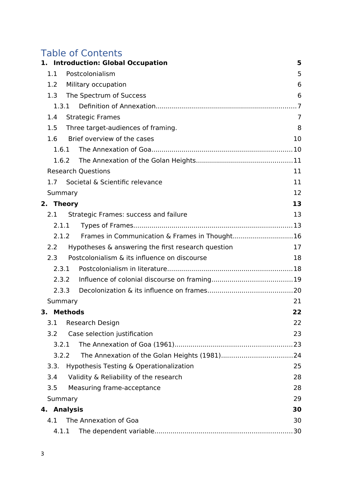# Table of Contents

|           | 1. Introduction: Global Occupation                     | 5  |
|-----------|--------------------------------------------------------|----|
| 1.1       | Postcolonialism                                        | 5  |
| 1.2       | Military occupation                                    | 6  |
| 1.3       | The Spectrum of Success                                | 6  |
|           | 1.3.1                                                  | .7 |
| 1.4       | <b>Strategic Frames</b>                                | 7  |
| 1.5       | Three target-audiences of framing.                     | 8  |
| 1.6       | Brief overview of the cases                            | 10 |
|           | 1.6.1                                                  |    |
|           | 1.6.2                                                  |    |
|           | <b>Research Questions</b>                              | 11 |
| 1.7       | Societal & Scientific relevance                        | 11 |
|           | Summary                                                | 12 |
| 2. Theory |                                                        | 13 |
| 2.1       | Strategic Frames: success and failure                  | 13 |
|           | 2.1.1                                                  |    |
|           | Frames in Communication & Frames in Thought16<br>2.1.2 |    |
| 2.2       | Hypotheses & answering the first research question     | 17 |
| 2.3       | Postcolonialism & its influence on discourse           | 18 |
|           | 2.3.1                                                  |    |
|           | 2.3.2                                                  |    |
|           | 2.3.3                                                  |    |
|           | Summary                                                | 21 |
| 3.        | <b>Methods</b>                                         | 22 |
| 3.1       | Research Design                                        | 22 |
| 3.2       | Case selection justification                           | 23 |
| 3.2.1     |                                                        |    |
|           | 3.2.2                                                  |    |
| 3.3.      | Hypothesis Testing & Operationalization                | 25 |
| 3.4       | Validity & Reliability of the research                 | 28 |
| 3.5       | Measuring frame-acceptance                             | 28 |
|           | Summary                                                | 29 |
| 4.        | <b>Analysis</b>                                        | 30 |
| 4.1       | The Annexation of Goa                                  | 30 |
|           | 4.1.1                                                  | 30 |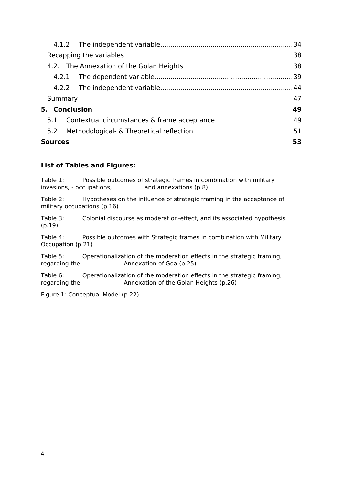|         | Recapping the variables                     | 38 |  |  |  |
|---------|---------------------------------------------|----|--|--|--|
|         | 4.2. The Annexation of the Golan Heights    | 38 |  |  |  |
| 4.2.1   |                                             |    |  |  |  |
|         |                                             |    |  |  |  |
| Summary |                                             | 47 |  |  |  |
|         | 5. Conclusion                               | 49 |  |  |  |
| 5.1     | Contextual circumstances & frame acceptance | 49 |  |  |  |
| 5.2     | Methodological - & Theoretical reflection   | 51 |  |  |  |
| Sources |                                             | 53 |  |  |  |

#### **List of Tables and Figures:**

Table 1: Possible outcomes of strategic frames in combination with military invasions, - occupations, and annexations (p.8)

Table 2: Hypotheses on the influence of strategic framing in the acceptance of military occupations (p.16)

Table 3: Colonial discourse as moderation-effect, and its associated hypothesis (p.19)

Table 4: Possible outcomes with Strategic frames in combination with Military Occupation (p.21)

Table 5: Operationalization of the moderation effects in the strategic framing, regarding the Annexation of Goa (p.25)

Table 6: Operationalization of the moderation effects in the strategic framing, regarding the Annexation of the Golan Heights (p.26)

Figure 1: Conceptual Model (p.22)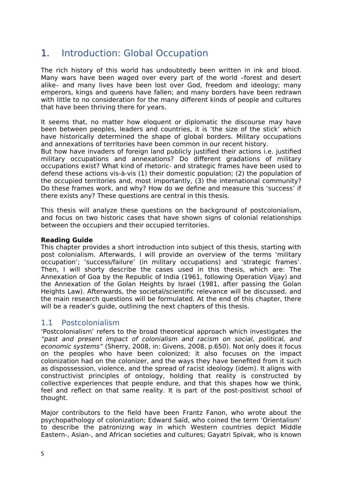# <span id="page-5-0"></span>1. Introduction: Global Occupation

The rich history of this world has undoubtedly been written in ink and blood. Many wars have been waged over every part of the world –forest and desert alike– and many lives have been lost over God, freedom and ideology; many emperors, kings and queens have fallen; and many borders have been redrawn with little to no consideration for the many different kinds of people and cultures that have been thriving there for years.

It seems that, no matter how eloquent or diplomatic the discourse may have been between peoples, leaders and countries, it is 'the size of the stick' which have historically determined the shape of global borders. Military occupations and annexations of territories have been common in our recent history.

But how have invaders of foreign land publicly justified their actions i.e. justified military occupations and annexations? Do different gradations of military occupations exist? What kind of rhetoric- and strategic frames have been used to defend these actions vis-à-vis (1) their domestic population; (2) the population of the occupied territories and, most importantly, (3) the international community? Do these frames work, and why? How do we define and measure this 'success' if there exists any? These questions are central in this thesis.

This thesis will analyze these questions on the background of postcolonialism, and focus on two historic cases that have shown signs of colonial relationships between the occupiers and their occupied territories.

#### **Reading Guide**

This chapter provides a short introduction into subject of this thesis, starting with post colonialism. Afterwards, I will provide an overview of the terms 'military occupation'; 'success/failure' (in military occupations) and 'strategic frames'. Then, I will shorty describe the cases used in this thesis, which are: The Annexation of Goa by the Republic of India (1961, following Operation Vijay) and the Annexation of the Golan Heights by Israel (1981, after passing the Golan Heights Law). Afterwards, the societal/scientific relevance will be discussed, and the main research questions will be formulated. At the end of this chapter, there will be a reader's quide, outlining the next chapters of this thesis.

#### <span id="page-5-1"></span>1.1 Postcolonialism

'Postcolonialism' refers to the broad theoretical approach which investigates the "past and present impact of colonialism and racism on social, political, and economic systems" (Sherry, 2008, in: Givens, 2008, p.650). Not only does it focus on the peoples who have been colonized; it also focuses on the impact colonization had on the colonizer, and the ways they have benefited from it such as dispossession, violence, and the spread of racist ideology (idem). It aligns with constructivist principles of ontology, holding that reality is constructed by collective experiences that people endure, and that this shapes how we think, feel and reflect on that same reality. It is part of the post-positivist school of thought.

Major contributors to the field have been Frantz Fanon, who wrote about the psychopathology of colonization; Edward Saïd, who coined the term 'Orientalism' to describe the patronizing way in which Western countries depict Middle Eastern-, Asian-, and African societies and cultures; Gayatri Spivak, who is known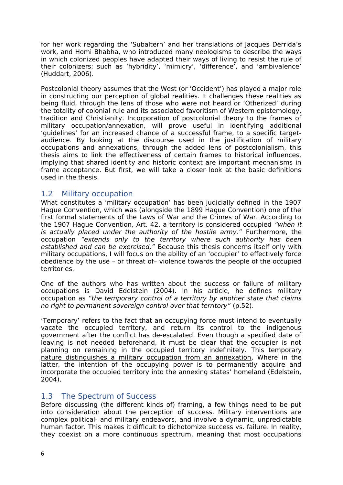for her work regarding the 'Subaltern' and her translations of Jacques Derrida's work, and Homi Bhabha, who introduced many neologisms to describe the ways in which colonized peoples have adapted their ways of living to resist the rule of their colonizers; such as 'hybridity', 'mimicry', 'difference', and 'ambivalence' (Huddart, 2006).

Postcolonial theory assumes that the West (or 'Occident') has played a major role in constructing our perception of global realities. It challenges these realities as being fluid, through the lens of those who were not heard or 'Otherized' during the totality of colonial rule and its associated favoritism of Western epistemology, tradition and Christianity. Incorporation of postcolonial theory to the frames of military occupation/annexation, will prove useful in identifying additional 'guidelines' for an increased chance of a successful frame, to a specific targetaudience. By looking at the discourse used in the justification of military occupations and annexations, through the added lens of postcolonialism, this thesis aims to link the effectiveness of certain frames to historical influences, implying that shared identity and historic context are important mechanisms in frame acceptance. But first, we will take a closer look at the basic definitions used in the thesis.

#### <span id="page-6-0"></span>1.2 Military occupation

What constitutes a 'military occupation' has been judicially defined in the 1907 Hague Convention, which was (alongside the 1899 Hague Convention) one of the first formal statements of the Laws of War and the Crimes of War. According to the 1907 Hague Convention, Art. 42, a territory is considered occupied "when it is actually placed under the authority of the hostile army." Furthermore, the occupation "extends only to the territory where such authority has been established and can be exercised." Because this thesis concerns itself only with military occupations, I will focus on the ability of an 'occupier' to effectively force obedience by the use – or threat of– violence towards the people of the occupied territories.

One of the authors who has written about the success or failure of military occupations is David Edelstein (2004). In his article, he defines military occupation as "the temporary control of a territory by another state that claims no right to permanent sovereign control over that territory" (p.52).

'Temporary' refers to the fact that an occupying force must intend to eventually vacate the occupied territory, and return its control to the indigenous government after the conflict has de-escalated. Even though a specified date of leaving is not needed beforehand, it must be clear that the occupier is not planning on remaining in the occupied territory indefinitely. This temporary nature distinguishes a military occupation from an annexation. Where in the latter, the intention of the occupying power is to permanently acquire and incorporate the occupied territory into the annexing states' homeland (Edelstein, 2004).

#### <span id="page-6-1"></span>1.3 The Spectrum of Success

Before discussing (the different kinds of) framing, a few things need to be put into consideration about the perception of success. Military interventions are complex political- and military endeavors, and involve a dynamic, unpredictable human factor. This makes it difficult to dichotomize success vs. failure. In reality, they coexist on a more continuous spectrum, meaning that most occupations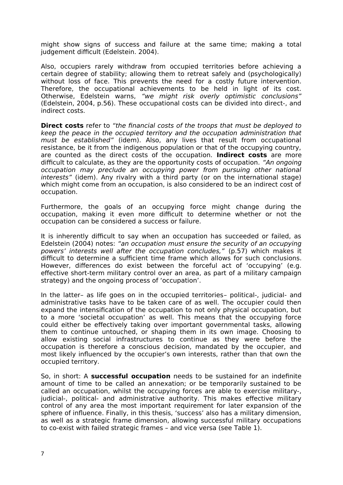might show signs of success and failure at the same time; making a total judgement difficult (Edelstein. 2004).

Also, occupiers rarely withdraw from occupied territories before achieving a certain degree of stability; allowing them to retreat safely and (psychologically) without loss of face. This prevents the need for a costly future intervention. Therefore, the occupational achievements to be held in light of its cost. Otherwise, Edelstein warns, "we might risk overly optimistic conclusions" (Edelstein, 2004, p.56). These occupational costs can be divided into direct-, and indirect costs.

**Direct costs** refer to "the financial costs of the troops that must be deployed to keep the peace in the occupied territory and the occupation administration that must be established" (idem). Also, any lives that result from occupational resistance, be it from the indigenous population or that of the occupying country, are counted as the direct costs of the occupation. **Indirect costs** are more difficult to calculate, as they are the opportunity costs of occupation. "An ongoing occupation may preclude an occupying power from pursuing other national interests" (idem). Any rivalry with a third party (or on the international stage) which might come from an occupation, is also considered to be an indirect cost of occupation.

Furthermore, the goals of an occupying force might change during the occupation, making it even more difficult to determine whether or not the occupation can be considered a success or failure.

It is inherently difficult to say when an occupation has succeeded or failed, as Edelstein (2004) notes: "an occupation must ensure the security of an occupying powers' interests well after the occupation concludes," (p.57) which makes it difficult to determine a sufficient time frame which allows for such conclusions. However, differences do exist between the forceful act of 'occupying' (e.g. effective short-term military control over an area, as part of a military campaign strategy) and the ongoing process of 'occupation'.

In the latter– as life goes on in the occupied territories– political-, judicial- and administrative tasks have to be taken care of as well. The occupier could then expand the intensification of the occupation to not only physical occupation, but to a more 'societal occupation' as well. This means that the occupying force could either be effectively taking over important governmental tasks, allowing them to continue untouched, or shaping them in its own image. Choosing to allow existing social infrastructures to continue as they were before the occupation is therefore a conscious decision, mandated by the occupier, and most likely influenced by the occupier's own interests, rather than that own the occupied territory.

So, in short: A **successful occupation** needs to be sustained for an indefinite amount of time to be called an annexation; or be temporarily sustained to be called an occupation, whilst the occupying forces are able to exercise military-, judicial-, political- and administrative authority. This makes effective military control of any area the most important requirement for later expansion of the sphere of influence. Finally, in this thesis, 'success' also has a military dimension, as well as a strategic frame dimension, allowing successful military occupations to co-exist with failed strategic frames – and vice versa (see Table 1).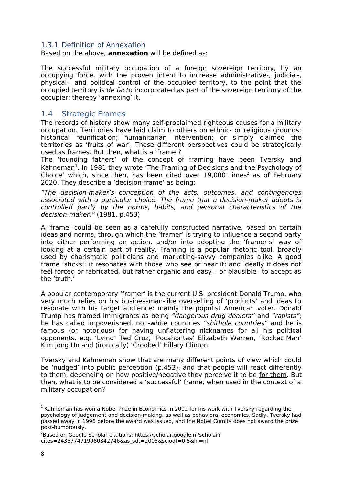#### <span id="page-8-0"></span>1.3.1 Definition of Annexation

Based on the above, **annexation** will be defined as:

The successful military occupation of a foreign sovereign territory, by an occupying force, with the proven intent to increase administrative-, judicial-, physical-, and political control of the occupied territory, to the point that the occupied territory is de facto incorporated as part of the sovereign territory of the occupier; thereby 'annexing' it.

#### <span id="page-8-1"></span>1.4 Strategic Frames

The records of history show many self-proclaimed righteous causes for a military occupation. Territories have laid claim to others on ethnic- or religious grounds; historical reunification; humanitarian intervention; or simply claimed the territories as 'fruits of war'. These different perspectives could be strategically used as frames. But then, what is a 'frame'?

The 'founding fathers' of the concept of framing have been Tversky and Kahneman<sup>[1](#page-8-2)</sup>. In 1981 they wrote 'The Framing of Decisions and the Psychology of Choice' which, since then, has been cited over  $19,000$  times<sup>[2](#page-8-3)</sup> as of February 2020. They describe a 'decision-frame' as being:

"The decision-maker's conception of the acts, outcomes, and contingencies associated with a particular choice. The frame that a decision-maker adopts is controlled partly by the norms, habits, and personal characteristics of the decision-maker." (1981, p.453)

A 'frame' could be seen as a carefully constructed narrative, based on certain ideas and norms, through which the 'framer' is trying to influence a second party into either performing an action, and/or into adopting the 'framer's' way of looking at a certain part of reality. Framing is a popular rhetoric tool, broadly used by charismatic politicians and marketing-savvy companies alike. A good frame 'sticks'; it resonates with those who see or hear it; and ideally it does not feel forced or fabricated, but rather organic and easy – or plausible– to accept as the 'truth.'

A popular contemporary 'framer' is the current U.S. president Donald Trump, who very much relies on his businessman-like overselling of 'products' and ideas to resonate with his target audience: mainly the populist American voter. Donald Trump has framed immigrants as being "dangerous drug dealers" and "rapists"; he has called impoverished, non-white countries "shithole countries" and he is famous (or notorious) for having unflattering nicknames for all his political opponents, e.g. 'Lying' Ted Cruz, 'Pocahontas' Elizabeth Warren, 'Rocket Man' Kim Jong Un and (ironically) 'Crooked' Hillary Clinton.

Tversky and Kahneman show that are many different points of view which could be 'nudged' into public perception (p.453), and that people will react differently to them, depending on how positive/negative they perceive it to be for them. But then, what is to be considered a 'successful' frame, when used in the context of a military occupation?

<span id="page-8-2"></span> $1$  Kahneman has won a Nobel Prize in Economics in 2002 for his work with Tversky regarding the psychology of judgement and decision-making, as well as behavioral economics. Sadly, Tversky had passed away in 1996 before the award was issued, and the Nobel Comity does not award the prize post-humorously.

<span id="page-8-3"></span><sup>&</sup>lt;sup>2</sup>Based on Google Scholar citations: https://scholar.google.nl/scholar? cites=2435774719980842746&as\_sdt=2005&sciodt=0,5&hl=nl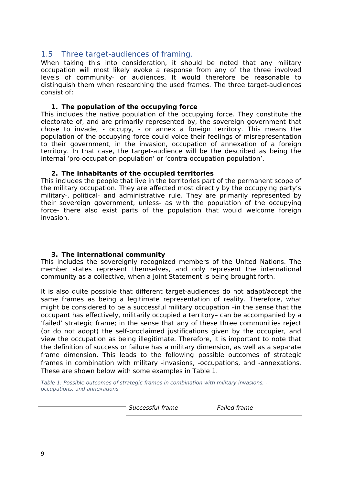#### <span id="page-9-0"></span>1.5 Three target-audiences of framing.

When taking this into consideration, it should be noted that any military occupation will most likely evoke a response from any of the three involved levels of community- or audiences. It would therefore be reasonable to distinguish them when researching the used frames. The three target-audiences consist of:

#### **1. The population of the occupying force**

This includes the native population of the occupying force. They constitute the electorate of, and are primarily represented by, the sovereign government that chose to invade, - occupy, - or annex a foreign territory. This means the population of the occupying force could voice their feelings of misrepresentation to their government, in the invasion, occupation of annexation of a foreign territory. In that case, the target-audience will be the described as being the internal 'pro-occupation population' or 'contra-occupation population'.

#### **2. The inhabitants of the occupied territories**

This includes the people that live in the territories part of the permanent scope of the military occupation. They are affected most directly by the occupying party's military-, political- and administrative rule. They are primarily represented by their sovereign government, unless- as with the population of the occupying force- there also exist parts of the population that would welcome foreign invasion.

#### **3. The international community**

This includes the sovereignly recognized members of the United Nations. The member states represent themselves, and only represent the international community as a collective, when a Joint Statement is being brought forth.

It is also quite possible that different target-audiences do not adapt/accept the same frames as being a legitimate representation of reality. Therefore, what might be considered to be a successful military occupation –in the sense that the occupant has effectively, militarily occupied a territory– can be accompanied by a 'failed' strategic frame; in the sense that any of these three communities reject (or do not adopt) the self-proclaimed justifications given by the occupier, and view the occupation as being illegitimate. Therefore, it is important to note that the definition of success or failure has a military dimension, as well as a separate frame dimension. This leads to the following possible outcomes of strategic frames in combination with military -invasions, -occupations, and -annexations. These are shown below with some examples in Table 1.

Table 1: Possible outcomes of strategic frames in combination with military invasions, occupations, and annexations

Successful frame Failed frame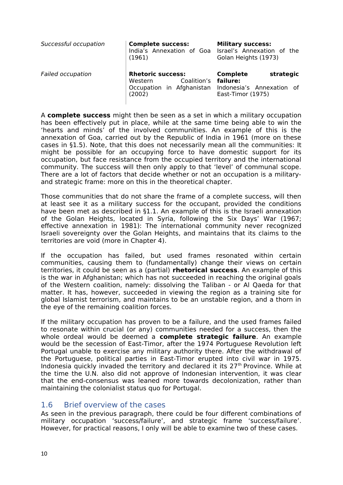| Successful occupation    | <b>Complete success:</b><br>India's Annexation of Goa<br>(1961)                           | <b>Military success:</b><br>Israel's Annexation of the<br>Golan Heights (1973)             |
|--------------------------|-------------------------------------------------------------------------------------------|--------------------------------------------------------------------------------------------|
| <b>Failed occupation</b> | <b>Rhetoric success:</b><br>Coalition's<br>Western<br>Occupation in Afghanistan<br>(2002) | <b>Complete</b><br>strategic<br>failure:<br>Indonesia's Annexation of<br>East-Timor (1975) |

A **complete success** might then be seen as a set in which a military occupation has been effectively put in place, while at the same time being able to win the 'hearts and minds' of the involved communities. An example of this is the annexation of Goa, carried out by the Republic of India in 1961 (more on these cases in §1.5). Note, that this does not necessarily mean all the communities: It might be possible for an occupying force to have domestic support for its occupation, but face resistance from the occupied territory and the international community. The success will then only apply to that 'level' of communal scope. There are a lot of factors that decide whether or not an occupation is a militaryand strategic frame: more on this in the theoretical chapter.

Those communities that do not share the frame of a complete success, will then at least see it as a military success for the occupant, provided the conditions have been met as described in §1.1. An example of this is the Israeli annexation of the Golan Heights, located in Syria, following the Six Days' War (1967; effective annexation in 1981): The international community never recognized Israeli sovereignty over the Golan Heights, and maintains that its claims to the territories are void (more in Chapter 4).

If the occupation has failed, but used frames resonated within certain communities, causing them to (fundamentally) change their views on certain territories, it could be seen as a (partial) **rhetorical success**. An example of this is the war in Afghanistan; which has not succeeded in reaching the original goals of the Western coalition, namely: dissolving the Taliban - or Al Qaeda for that matter. It has, however, succeeded in viewing the region as a training site for global Islamist terrorism, and maintains to be an unstable region, and a thorn in the eye of the remaining coalition forces.

If the military occupation has proven to be a failure, and the used frames failed to resonate within crucial (or any) communities needed for a success, then the whole ordeal would be deemed a **complete strategic failure**. An example would be the secession of East-Timor, after the 1974 Portuguese Revolution left Portugal unable to exercise any military authority there. After the withdrawal of the Portuguese, political parties in East-Timor erupted into civil war in 1975. Indonesia quickly invaded the territory and declared it its 27<sup>th</sup> Province. While at the time the U.N. also did not approve of Indonesian intervention, it was clear that the end-consensus was leaned more towards decolonization, rather than maintaining the colonialist status quo for Portugal.

#### <span id="page-10-0"></span>1.6 Brief overview of the cases

As seen in the previous paragraph, there could be four different combinations of military occupation 'success/failure', and strategic frame 'success/failure'. However, for practical reasons, I only will be able to examine two of these cases.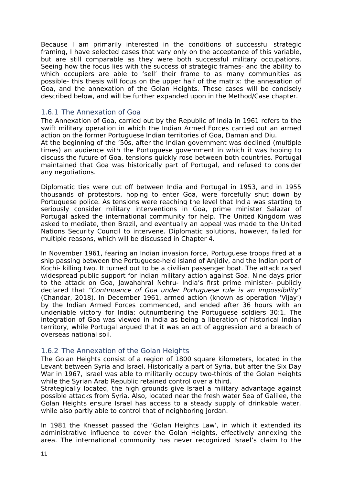Because I am primarily interested in the conditions of successful strategic framing, I have selected cases that vary only on the acceptance of this variable, but are still comparable as they were both successful military occupations. Seeing how the focus lies with the success of strategic frames- and the ability to which occupiers are able to 'sell' their frame to as many communities as possible- this thesis will focus on the upper half of the matrix: the annexation of Goa, and the annexation of the Golan Heights. These cases will be concisely described below, and will be further expanded upon in the Method/Case chapter.

#### <span id="page-11-0"></span>1.6.1 The Annexation of Goa

any negotiations.

The Annexation of Goa, carried out by the Republic of India in 1961 refers to the swift military operation in which the Indian Armed Forces carried out an armed action on the former Portuguese Indian territories of Goa, Daman and Diu. At the beginning of the '50s, after the Indian government was declined (multiple times) an audience with the Portuguese government in which it was hoping to discuss the future of Goa, tensions quickly rose between both countries. Portugal maintained that Goa was historically part of Portugal, and refused to consider

Diplomatic ties were cut off between India and Portugal in 1953, and in 1955 thousands of protestors, hoping to enter Goa, were forcefully shut down by Portuguese police. As tensions were reaching the level that India was starting to seriously consider military interventions in Goa, prime minister Salazar of Portugal asked the international community for help. The United Kingdom was asked to mediate, then Brazil, and eventually an appeal was made to the United Nations Security Council to intervene. Diplomatic solutions, however, failed for multiple reasons, which will be discussed in Chapter 4.

In November 1961, fearing an Indian invasion force, Portuguese troops fired at a ship passing between the Portuguese-held island of Anjidiv, and the Indian port of Kochi- killing two. It turned out to be a civilian passenger boat. The attack raised widespread public support for Indian military action against Goa. Nine days prior to the attack on Goa, Jawahahral Nehru- India's first prime minister- publicly declared that "Continuance of Goa under Portuguese rule is an impossibility" (Chandar, 2018). In December 1961, armed action (known as operation 'Vijay') by the Indian Armed Forces commenced, and ended after 36 hours with an undeniable victory for India; outnumbering the Portuguese soldiers 30:1. The integration of Goa was viewed in India as being a liberation of historical Indian territory, while Portugal argued that it was an act of aggression and a breach of overseas national soil.

#### <span id="page-11-1"></span>1.6.2 The Annexation of the Golan Heights

The Golan Heights consist of a region of 1800 square kilometers, located in the Levant between Syria and Israel. Historically a part of Syria, but after the Six Day War in 1967, Israel was able to militarily occupy two-thirds of the Golan Heights while the Syrian Arab Republic retained control over a third.

Strategically located, the high grounds give Israel a military advantage against possible attacks from Syria. Also, located near the fresh water Sea of Galilee, the Golan Heights ensure Israel has access to a steady supply of drinkable water, while also partly able to control that of neighboring Jordan.

In 1981 the Knesset passed the 'Golan Heights Law', in which it extended its administrative influence to cover the Golan Heights, effectively annexing the area. The international community has never recognized Israel's claim to the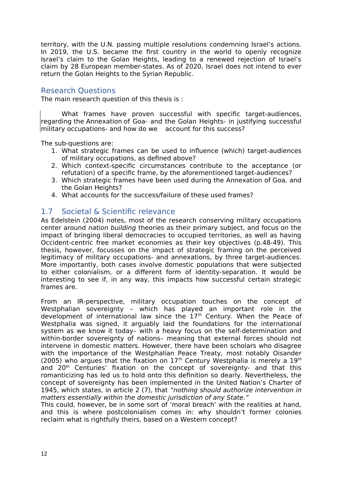territory, with the U.N. passing multiple resolutions condemning Israel's actions. In 2019, the U.S. became the first country in the world to openly recognize Israel's claim to the Golan Heights, leading to a renewed rejection of Israel's claim by 28 European member-states. As of 2020, Israel does not intend to ever return the Golan Heights to the Syrian Republic.

#### <span id="page-12-0"></span>Research Questions

The main research question of this thesis is :

What frames have proven successful with specific target-audiences, regarding the Annexation of Goa- and the Golan Heights- in justifying successful military occupations- and how do we account for this success?

The sub-questions are:

- 1. What strategic frames can be used to influence (which) target-audiences of military occupations, as defined above?
- 2. Which context-specific circumstances contribute to the acceptance (or refutation) of a specific frame, by the aforementioned target-audiences?
- 3. Which strategic frames have been used during the Annexation of Goa, and the Golan Heights?
- 4. What accounts for the success/failure of these used frames?

#### <span id="page-12-1"></span>1.7 Societal & Scientific relevance

As Edelstein (2004) notes, most of the research conserving military occupations center around nation building theories as their primary subject, and focus on the impact of bringing liberal democracies to occupied territories, as well as having Occident-centric free market economies as their key objectives (p.48-49). This thesis, however, focusses on the impact of strategic framing on the perceived legitimacy of military occupations- and annexations, by three target-audiences. More importantly, both cases involve domestic populations that were subjected to either colonialism, or a different form of identity-separation. It would be interesting to see if, in any way, this impacts how successful certain strategic frames are.

From an IR-perspective, military occupation touches on the concept of Westphalian sovereignty – which has played an important role in the development of international law since the  $17<sup>th</sup>$  Century. When the Peace of Westphalia was signed, it arguably laid the foundations for the international system as we know it today– with a heavy focus on the self-determination and within-border sovereignty of nations– meaning that external forces should not intervene in domestic matters. However, there have been scholars who disagree with the importance of the Westphalian Peace Treaty, most notably Oisander (2005) who argues that the fixation on  $17<sup>th</sup>$  Century Westphalia is merely a  $19<sup>th</sup>$ and 20<sup>th</sup> Centuries' fixation on the concept of sovereignty- and that this romanticizing has led us to hold onto this definition so dearly. Nevertheless, the concept of sovereignty has been implemented in the United Nation's Charter of 1945, which states, in article 2 (7), that "nothing should authorize intervention in matters essentially within the domestic jurisdiction of any State."

This could, however, be in some sort of 'moral breach' with the realities at hand, and this is where postcolonialism comes in: why shouldn't former colonies reclaim what is rightfully theirs, based on a Western concept?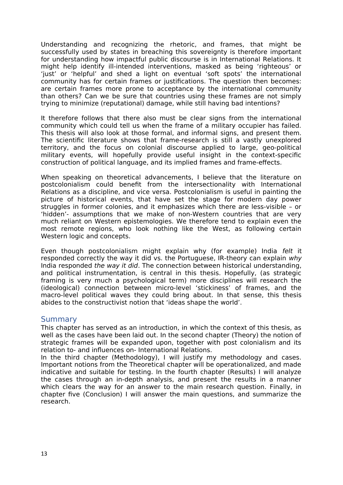Understanding and recognizing the rhetoric, and frames, that might be successfully used by states in breaching this sovereignty is therefore important for understanding how impactful public discourse is in International Relations. It might help identify ill-intended interventions, masked as being 'righteous' or 'just' or 'helpful' and shed a light on eventual 'soft spots' the international community has for certain frames or justifications. The question then becomes: are certain frames more prone to acceptance by the international community than others? Can we be sure that countries using these frames are not simply trying to minimize (reputational) damage, while still having bad intentions?

It therefore follows that there also must be clear signs from the international community which could tell us when the frame of a military occupier has failed. This thesis will also look at those formal, and informal signs, and present them. The scientific literature shows that frame-research is still a vastly unexplored territory, and the focus on colonial discourse applied to large, geo-political military events, will hopefully provide useful insight in the context-specific construction of political language, and its implied frames and frame-effects.

When speaking on theoretical advancements, I believe that the literature on postcolonialism could benefit from the intersectionality with International Relations as a discipline, and vice versa. Postcolonialism is useful in painting the picture of historical events, that have set the stage for modern day power struggles in former colonies, and it emphasizes which there are less-visible – or 'hidden'- assumptions that we make of non-Western countries that are very much reliant on Western epistemologies. We therefore tend to explain even the most remote regions, who look nothing like the West, as following certain Western logic and concepts.

Even though postcolonialism might explain why (for example) India felt it responded correctly the way it did vs. the Portuguese, IR-theory can explain why India responded the way it did. The connection between historical understanding, and political instrumentation, is central in this thesis. Hopefully, (as strategic framing is very much a psychological term) more disciplines will research the (ideological) connection between micro-level 'stickiness' of frames, and the macro-level political waves they could bring about. In that sense, this thesis abides to the constructivist notion that 'ideas shape the world'.

#### <span id="page-13-0"></span>Summary

This chapter has served as an introduction, in which the context of this thesis, as well as the cases have been laid out. In the second chapter (Theory) the notion of strategic frames will be expanded upon, together with post colonialism and its relation to- and influences on- International Relations.

In the third chapter (Methodology), I will justify my methodology and cases. Important notions from the Theoretical chapter will be operationalized, and made indicative and suitable for testing. In the fourth chapter (Results) I will analyze the cases through an in-depth analysis, and present the results in a manner which clears the way for an answer to the main research question. Finally, in chapter five (Conclusion) I will answer the main questions, and summarize the research.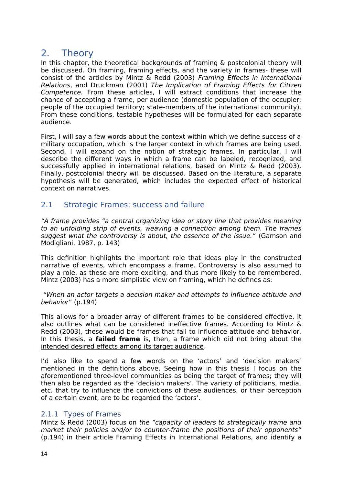# <span id="page-14-0"></span>2. Theory

In this chapter, the theoretical backgrounds of framing & postcolonial theory will be discussed. On framing, framing effects, and the variety in frames- these will consist of the articles by Mintz & Redd (2003) Framing Effects in International Relations, and Druckman (2001) The Implication of Framing Effects for Citizen Competence. From these articles, I will extract conditions that increase the chance of accepting a frame, per audience (domestic population of the occupier; people of the occupied territory; state-members of the international community). From these conditions, testable hypotheses will be formulated for each separate audience.

First, I will say a few words about the context within which we define success of a military occupation, which is the larger context in which frames are being used. Second, I will expand on the notion of strategic frames. In particular, I will describe the different ways in which a frame can be labeled, recognized, and successfully applied in international relations, based on Mintz & Redd (2003). Finally, postcolonial theory will be discussed. Based on the literature, a separate hypothesis will be generated, which includes the expected effect of historical context on narratives.

#### <span id="page-14-1"></span>2.1 Strategic Frames: success and failure

"A frame provides "a central organizing idea or story line that provides meaning to an unfolding strip of events, weaving a connection among them. The frames suggest what the controversy is about, the essence of the issue." (Gamson and Modigliani, 1987, p. 143)

This definition highlights the important role that ideas play in the constructed narrative of events, which encompass a frame. Controversy is also assumed to play a role, as these are more exciting, and thus more likely to be remembered. Mintz (2003) has a more simplistic view on framing, which he defines as:

 "When an actor targets a decision maker and attempts to influence attitude and behavior" (p.194)

This allows for a broader array of different frames to be considered effective. It also outlines what can be considered ineffective frames. According to Mintz & Redd (2003), these would be frames that fail to influence attitude and behavior. In this thesis, a **failed frame** is, then, a frame which did not bring about the intended desired effects among its target audience.

I'd also like to spend a few words on the 'actors' and 'decision makers' mentioned in the definitions above. Seeing how in this thesis I focus on the aforementioned three-level communities as being the target of frames; they will then also be regarded as the 'decision makers'. The variety of politicians, media, etc. that try to influence the convictions of these audiences, or their perception of a certain event, are to be regarded the 'actors'.

#### <span id="page-14-2"></span>2.1.1 Types of Frames

Mintz & Redd (2003) focus on the "capacity of leaders to strategically frame and market their policies and/or to counter-frame the positions of their opponents" (p.194) in their article Framing Effects in International Relations, and identify a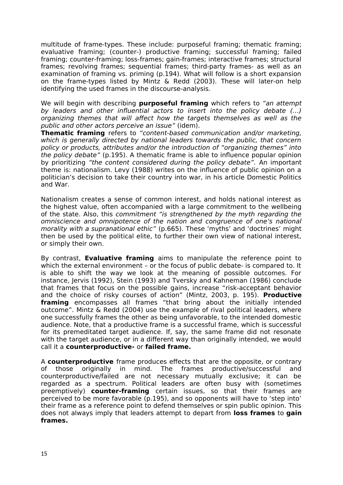multitude of frame-types. These include: purposeful framing; thematic framing; evaluative framing; (counter-) productive framing; successful framing; failed framing; counter-framing; loss-frames; gain-frames; interactive frames; structural frames; revolving frames; sequential frames; third-party frames- as well as an examination of framing vs. priming (p.194). What will follow is a short expansion on the frame-types listed by Mintz & Redd (2003). These will later-on help identifying the used frames in the discourse-analysis.

We will begin with describing **purposeful framing** which refers to "an attempt by leaders and other influential actors to insert into the policy debate (…) organizing themes that will affect how the targets themselves as well as the public and other actors perceive an issue" (idem).

**Thematic framing** refers to "content-based communication and/or marketing, which is generally directed by national leaders towards the public, that concern policy or products, attributes and/or the introduction of "organizing themes" into the policy debate" (p.195). A thematic frame is able to influence popular opinion by prioritizing "the content considered during the policy debate". An important theme is: nationalism. Levy (1988) writes on the influence of public opinion on a politician's decision to take their country into war, in his article Domestic Politics and War.

Nationalism creates a sense of common interest, and holds national interest as the highest value, often accompanied with a large commitment to the wellbeing of the state. Also, this commitment "is strengthened by the myth regarding the omniscience and omnipotence of the nation and congruence of one's national morality with a supranational ethic" (p.665). These 'myths' and 'doctrines' might then be used by the political elite, to further their own view of national interest, or simply their own.

By contrast, **Evaluative framing** aims to manipulate the reference point to which the external environment – or the focus of public debate- is compared to. It is able to shift the way we look at the meaning of possible outcomes. For instance, Jervis (1992), Stein (1993) and Tversky and Kahneman (1986) conclude that frames that focus on the possible gains, increase "risk-acceptant behavior and the choice of risky courses of action" (Mintz, 2003, p. 195). **Productive framing** encompasses all frames "that bring about the initially intended outcome". Mintz & Redd (2004) use the example of rival political leaders, where one successfully frames the other as being unfavorable, to the intended domestic audience. Note, that a productive frame is a successful frame, which is successful for its premeditated target audience. If, say, the same frame did not resonate with the target audience, or in a different way than originally intended, we would call it a **counterproductive-** or **failed frame.** 

A **counterproductive** frame produces effects that are the opposite, or contrary of those originally in mind. The frames productive/successful and counterproductive/failed are not necessary mutually exclusive; it can be regarded as a spectrum. Political leaders are often busy with (sometimes preemptively) **counter-framing** certain issues, so that their frames are perceived to be more favorable (p.195), and so opponents will have to 'step into' their frame as a reference point to defend themselves or spin public opinion. This does not always imply that leaders attempt to depart from **loss frames** to **gain frames.**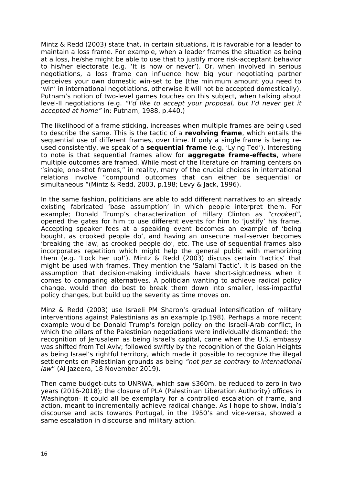Mintz & Redd (2003) state that, in certain situations, it is favorable for a leader to maintain a loss frame. For example, when a leader frames the situation as being at a loss, he/she might be able to use that to justify more risk-acceptant behavior to his/her electorate (e.g. 'It is now or never'). Or, when involved in serious negotiations, a loss frame can influence how big your negotiating partner perceives your own domestic win-set to be (the minimum amount you need to 'win' in international negotiations, otherwise it will not be accepted domestically). Putnam's notion of two-level games touches on this subject, when talking about level-II negotiations (e.g. "I'd like to accept your proposal, but I'd never get it accepted at home" in: Putnam, 1988, p.440.)

The likelihood of a frame sticking, increases when multiple frames are being used to describe the same. This is the tactic of a **revolving frame**, which entails the sequential use of different frames, over time. If only a single frame is being reused consistently, we speak of a **sequential frame** (e.g. 'Lying Ted'). Interesting to note is that sequential frames allow for **aggregate frame-effects**, where multiple outcomes are framed. While most of the literature on framing centers on "single, one-shot frames," in reality, many of the crucial choices in international relations involve "compound outcomes that can either be sequential or simultaneous "(Mintz & Redd, 2003, p.198; Levy & Jack, 1996).

In the same fashion, politicians are able to add different narratives to an already existing fabricated 'base assumption' in which people interpret them. For example; Donald Trump's characterization of Hillary Clinton as "crooked", opened the gates for him to use different events for him to 'justify' his frame. Accepting speaker fees at a speaking event becomes an example of 'being bought, as crooked people do', and having an unsecure mail-server becomes 'breaking the law, as crooked people do', etc. The use of sequential frames also incorporates repetition which might help the general public with memorizing them (e.g. 'Lock her up!'). Mintz & Redd (2003) discuss certain 'tactics' that might be used with frames. They mention the 'Salami Tactic'. It is based on the assumption that decision-making individuals have short-sightedness when it comes to comparing alternatives. A politician wanting to achieve radical policy change, would then do best to break them down into smaller, less-impactful policy changes, but build up the severity as time moves on.

Minz & Redd (2003) use Israeli PM Sharon's gradual intensification of military interventions against Palestinians as an example (p.198). Perhaps a more recent example would be Donald Trump's foreign policy on the Israeli-Arab conflict, in which the pillars of the Palestinian negotiations were individually dismantled: the recognition of Jerusalem as being Israel's capital, came when the U.S. embassy was shifted from Tel Aviv; followed swiftly by the recognition of the Golan Heights as being Israel's rightful territory, which made it possible to recognize the illegal settlements on Palestinian grounds as being "not per se contrary to international law" (Al Jazeera, 18 November 2019).

Then came budget-cuts to UNRWA, which saw \$360m. be reduced to zero in two years (2016-2018); the closure of PLA (Palestinian Liberation Authority) offices in Washington- it could all be exemplary for a controlled escalation of frame, and action, meant to incrementally achieve radical change. As I hope to show, India's discourse and acts towards Portugal, in the 1950's and vice-versa, showed a same escalation in discourse and military action.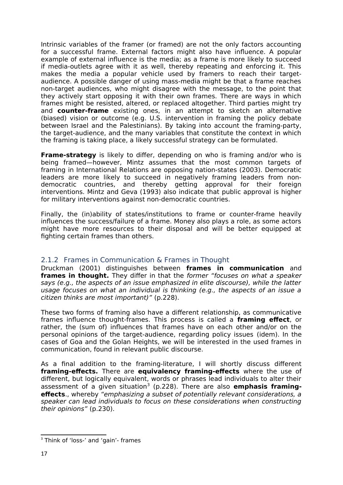Intrinsic variables of the framer (or framed) are not the only factors accounting for a successful frame. External factors might also have influence. A popular example of external influence is the media; as a frame is more likely to succeed if media-outlets agree with it as well, thereby repeating and enforcing it. This makes the media a popular vehicle used by framers to reach their targetaudience. A possible danger of using mass-media might be that a frame reaches non-target audiences, who might disagree with the message, to the point that they actively start opposing it with their own frames. There are ways in which frames might be resisted, altered, or replaced altogether. Third parties might try and **counter-frame** existing ones, in an attempt to sketch an alternative (biased) vision or outcome (e.g. U.S. intervention in framing the policy debate between Israel and the Palestinians). By taking into account the framing-party, the target-audience, and the many variables that constitute the context in which the framing is taking place, a likely successful strategy can be formulated.

**Frame-strategy** is likely to differ, depending on who is framing and/or who is being framed—however, Mintz assumes that the most common targets of framing in International Relations are opposing nation-states (2003). Democratic leaders are more likely to succeed in negatively framing leaders from nondemocratic countries, and thereby getting approval for their foreign interventions. Mintz and Geva (1993) also indicate that public approval is higher for military interventions against non-democratic countries.

Finally, the (in)ability of states/institutions to frame or counter-frame heavily influences the success/failure of a frame. Money also plays a role, as some actors might have more resources to their disposal and will be better equipped at fighting certain frames than others.

#### <span id="page-17-0"></span>2.1.2 Frames in Communication & Frames in Thought

Druckman (2001) distinguishes between **frames in communication** and **frames in thought.** They differ in that the former "focuses on what a speaker says (e.g., the aspects of an issue emphasized in elite discourse), while the latter usage focuses on what an individual is thinking (e.g., the aspects of an issue a citizen thinks are most important)" (p.228).

These two forms of framing also have a different relationship, as communicative frames influence thought-frames. This process is called a **framing effect**, or rather, the (sum of) influences that frames have on each other and/or on the personal opinions of the target-audience, regarding policy issues (idem). In the cases of Goa and the Golan Heights, we will be interested in the used frames in communication, found in relevant public discourse.

As a final addition to the framing-literature, I will shortly discuss different **framing-effects.** There are **equivalency framing-effects** where the use of different, but logically equivalent, words or phrases lead individuals to alter their assessment of a given situation<sup>[3](#page-17-1)</sup> (p.228). There are also **emphasis framingeffects**., whereby "emphasizing a subset of potentially relevant considerations, a speaker can lead individuals to focus on these considerations when constructing their opinions" (p.230).

<span id="page-17-1"></span><sup>&</sup>lt;sup>3</sup> Think of 'loss-' and 'gain'- frames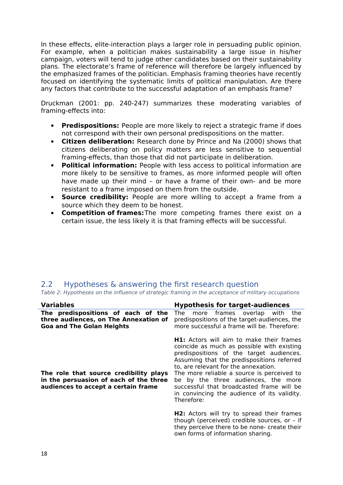In these effects, elite-interaction plays a larger role in persuading public opinion. For example, when a politician makes sustainability a large issue in his/her campaign, voters will tend to judge other candidates based on their sustainability plans. The electorate's frame of reference will therefore be largely influenced by the emphasized frames of the politician. Emphasis framing theories have recently focused on identifying the systematic limits of political manipulation. Are there any factors that contribute to the successful adaptation of an emphasis frame?

Druckman (2001: pp. 240-247) summarizes these moderating variables of framing-effects into:

- **Predispositions:** People are more likely to reject a strategic frame if does not correspond with their own personal predispositions on the matter.
- **Citizen deliberation:** Research done by Prince and Na (2000) shows that citizens deliberating on policy matters are less sensitive to sequential framing-effects, than those that did not participate in deliberation.
- **Political information:** People with less access to political information are more likely to be sensitive to frames, as more informed people will often have made up their mind – or have a frame of their own- and be more resistant to a frame imposed on them from the outside.
- **Source credibility:** People are more willing to accept a frame from a source which they deem to be honest.
- **Competition of frames:**The more competing frames there exist on a certain issue, the less likely it is that framing effects will be successful.

#### <span id="page-18-0"></span>2.2 Hypotheses & answering the first research question

Table 2: Hypotheses on the influence of strategic framing in the acceptance of military occupations

| <b>Variables</b>                                                                                                        | <b>Hypothesis for target-audiences</b>                                                                                                                                                                                                                                                                                                                                                                                         |  |  |
|-------------------------------------------------------------------------------------------------------------------------|--------------------------------------------------------------------------------------------------------------------------------------------------------------------------------------------------------------------------------------------------------------------------------------------------------------------------------------------------------------------------------------------------------------------------------|--|--|
| The predispositions of each of the<br>three audiences, on The Annexation of<br><b>Goa and The Golan Heights</b>         | more frames overlap with<br>The<br>the<br>predispositions of the target-audiences, the<br>more successful a frame will be. Therefore:                                                                                                                                                                                                                                                                                          |  |  |
| The role that source credibility plays<br>in the persuasion of each of the three<br>audiences to accept a certain frame | <b>H1:</b> Actors will aim to make their frames<br>coincide as much as possible with existing<br>predispositions of the target audiences.<br>Assuming that the predispositions referred<br>to, are relevant for the annexation.<br>The more reliable a source is perceived to<br>be by the three audiences, the more<br>successful that broadcasted frame will be<br>in convincing the audience of its validity.<br>Therefore: |  |  |
|                                                                                                                         | H2: Actors will try to spread their frames<br>though (perceived) credible sources, or - if<br>they perceive there to be none- create their<br>own forms of information sharing.                                                                                                                                                                                                                                                |  |  |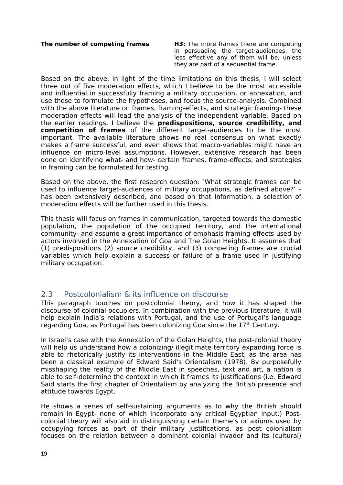**The number of competing frames H3:** The more frames there are competing in persuading the target-audiences, the less effective any of them will be, unless they are part of a sequential frame.

Based on the above, in light of the time limitations on this thesis, I will select three out of five moderation effects, which I believe to be the most accessible and influential in successfully framing a military occupation, or annexation, and use these to formulate the hypotheses, and focus the source-analysis. Combined with the above literature on frames, framing-effects, and strategic framing- these moderation effects will lead the analysis of the independent variable. Based on the earlier readings, I believe the **predispositions, source credibility, and competition of frames** of the different target-audiences to be the most important. The available literature shows no real consensus on what exactly makes a frame successful, and even shows that macro-variables might have an influence on micro-level assumptions. However, extensive research has been done on identifying what- and how- certain frames, frame-effects, and strategies in framing can be formulated for testing.

Based on the above, the first research question: 'What strategic frames can be used to influence target-audiences of military occupations, as defined above?' – has been extensively described, and based on that information, a selection of moderation effects will be further used in this thesis.

This thesis will focus on frames in communication, targeted towards the domestic population, the population of the occupied territory, and the international community- and assume a great importance of emphasis framing-effects used by actors involved in the Annexation of Goa and The Golan Heights. It assumes that (1) predispositions (2) source credibility, and (3) competing frames are crucial variables which help explain a success or failure of a frame used in justifying military occupation.

#### <span id="page-19-0"></span>2.3 Postcolonialism & its influence on discourse

This paragraph touches on postcolonial theory, and how it has shaped the discourse of colonial occupiers. In combination with the previous literature, it will help explain India's relations with Portugal, and the use of Portugal's language regarding Goa, as Portugal has been colonizing Goa since the  $17<sup>th</sup>$  Century.

In Israel's case with the Annexation of the Golan Heights, the post-colonial theory will help us understand how a colonizing/ illegitimate territory expanding force is able to rhetorically justify its interventions in the Middle East, as the area has been a classical example of Edward Said's Orientalism (1978). By purposefully misshaping the reality of the Middle East in speeches, text and art, a nation is able to self-determine the context in which it frames its justifications (i.e. Edward Said starts the first chapter of Orientalism by analyzing the British presence and attitude towards Egypt.

He shows a series of self-sustaining arguments as to why the British should remain in Egypt- none of which incorporate any critical Egyptian input.) Postcolonial theory will also aid in distinguishing certain theme's or axioms used by occupying forces as part of their military justifications, as post colonialism focuses on the relation between a dominant colonial invader and its (cultural)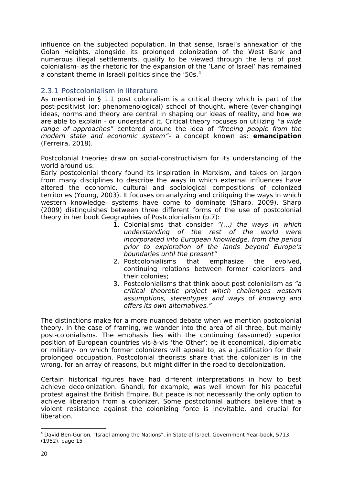influence on the subjected population. In that sense, Israel's annexation of the Golan Heights, alongside its prolonged colonization of the West Bank and numerous illegal settlements, qualify to be viewed through the lens of post colonialism- as the rhetoric for the expansion of the 'Land of Israel' has remained a constant theme in Israeli politics since the '50s.<sup>[4](#page-20-1)</sup>

#### <span id="page-20-0"></span>2.3.1 Postcolonialism in literature

As mentioned in § 1.1 post colonialism is a critical theory which is part of the post-positivist (or: phenomenological) school of thought, where (ever-changing) ideas, norms and theory are central in shaping our ideas of reality, and how we are able to explain - or understand it. Critical theory focuses on utilizing "a wide range of approaches" centered around the idea of "freeing people from the modern state and economic system"- a concept known as: **emancipation** (Ferreira, 2018).

Postcolonial theories draw on social-constructivism for its understanding of the world around us.

Early postcolonial theory found its inspiration in Marxism, and takes on jargon from many disciplines to describe the ways in which external influences have altered the economic, cultural and sociological compositions of colonized territories (Young, 2003). It focuses on analyzing and critiquing the ways in which western knowledge- systems have come to dominate (Sharp, 2009). Sharp (2009) distinguishes between three different forms of the use of postcolonial theory in her book Geographies of Postcolonialism (p.7):

- 1. Colonialisms that consider "(…) the ways in which understanding of the rest of the world were incorporated into European knowledge, from the period prior to exploration of the lands beyond Europe's boundaries until the present"
- 2. Postcolonialisms that emphasize the evolved, continuing relations between former colonizers and their colonies;
- 3. Postcolonialisms that think about post colonialism as "a critical theoretic project which challenges western assumptions, stereotypes and ways of knowing and offers its own alternatives."

The distinctions make for a more nuanced debate when we mention postcolonial theory. In the case of framing, we wander into the area of all three, but mainly post-colonialisms. The emphasis lies with the continuing (assumed) superior position of European countries vis-à-vis 'the Other'; be it economical, diplomatic or military- on which former colonizers will appeal to, as a justification for their prolonged occupation. Postcolonial theorists share that the colonizer is in the wrong, for an array of reasons, but might differ in the road to decolonization.

Certain historical figures have had different interpretations in how to best achieve decolonization. Ghandi, for example, was well known for his peaceful protest against the British Empire. But peace is not necessarily the only option to achieve liberation from a colonizer. Some postcolonial authors believe that a violent resistance against the colonizing force is inevitable, and crucial for liberation.

<span id="page-20-1"></span><sup>&</sup>lt;sup>4</sup> David Ben-Gurion, "Israel among the Nations", in State of Israel, Government Year-book, 5713 (1952), page 15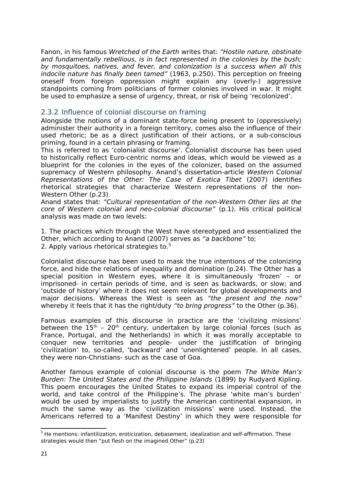Fanon, in his famous Wretched of the Earth writes that: "Hostile nature, obstinate and fundamentally rebellious, is in fact represented in the colonies by the bush; by mosquitoes, natives, and fever, and colonization is a success when all this indocile nature has finally been tamed" (1963, p.250). This perception on freeing oneself from foreign oppression might explain any (overly-) aggressive standpoints coming from politicians of former colonies involved in war. It might be used to emphasize a sense of urgency, threat, or risk of being 'recolonized'.

#### <span id="page-21-0"></span>2.3.2 Influence of colonial discourse on framing

Alongside the notions of a dominant state-force being present to (oppressively) administer their authority in a foreign territory, comes also the influence of their used rhetoric; be as a direct justification of their actions, or a sub-conscious priming, found in a certain phrasing or framing.

This is referred to as 'colonialist discourse'. Colonialist discourse has been used to historically reflect Euro-centric norms and ideas, which would be viewed as a blueprint for the colonies in the eyes of the colonizer, based on the assumed supremacy of Western philosophy. Anand's dissertation-article Western Colonial Representations of the Other: The Case of Exotica Tibet (2007) identifies rhetorical strategies that characterize Western representations of the non-Western Other (p.23).

Anand states that: "Cultural representation of the non-Western Other lies at the core of Western colonial and neo-colonial discourse" (p.1). His critical political analysis was made on two levels:

1. The practices which through the West have stereotyped and essentialized the Other, which according to Anand (2007) serves as "a backbone" to; 2. Apply various rhetorical strategies to.<sup>[5](#page-21-1)</sup>

Colonialist discourse has been used to mask the true intentions of the colonizing force, and hide the relations of inequality and domination (p.24). The Other has a special position in Western eyes, where it is simultaneously 'frozen' – or imprisoned- in certain periods of time, and is seen as backwards, or slow; and 'outside of history' where it does not seem relevant for global developments and major decisions. Whereas the West is seen as "the present and the now" whereby it feels that it has the right/duty "to bring progress" to the Other (p.36).

Famous examples of this discourse in practice are the 'civilizing missions' between the  $15<sup>th</sup>$  - 20<sup>th</sup> century, undertaken by large colonial forces (such as France, Portugal, and the Netherlands) in which it was morally acceptable to conquer new territories and people- under the justification of bringing 'civilization' to, so-called, 'backward' and 'unenlightened' people. In all cases, they were non-Christians- such as the case of Goa.

Another famous example of colonial discourse is the poem The White Man's Burden: The United States and the Philippine Islands (1899) by Rudyard Kipling. This poem encourages the United States to expand its imperial control of the world, and take control of the Philippine's. The phrase 'white man's burden' would be used by imperialists to justify the American continental expansion, in much the same way as the 'civilization missions' were used. Instead, the Americans referred to a 'Manifest Destiny' in which they were responsible for

<span id="page-21-1"></span><sup>&</sup>lt;sup>5</sup> He mentions: infantilization, eroticization, debasement, idealization and self-affirmation. These strategies would then "put flesh on the imagined Other" (p.23)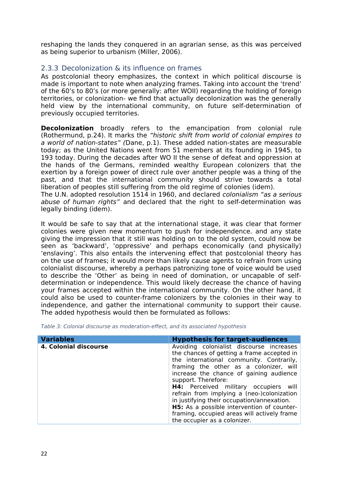reshaping the lands they conquered in an agrarian sense, as this was perceived as being superior to urbanism (Miller, 2006).

#### <span id="page-22-0"></span>2.3.3 Decolonization & its influence on frames

As postcolonial theory emphasizes, the context in which political discourse is made is important to note when analyzing frames. Taking into account the 'trend' of the 60's to 80's (or more generally: after WOII) regarding the holding of foreign territories, or colonization- we find that actually decolonization was the generally held view by the international community, on future self-determination of previously occupied territories.

**Decolonization** broadly refers to the emancipation from colonial rule (Rothermund, p.24). It marks the "historic shift from world of colonial empires to a world of nation-states" (Dane, p.1). These added nation-states are measurable today; as the United Nations went from 51 members at its founding in 1945, to 193 today. During the decades after WO II the sense of defeat and oppression at the hands of the Germans, reminded wealthy European colonizers that the exertion by a foreign power of direct rule over another people was a thing of the past, and that the international community should strive towards a total liberation of peoples still suffering from the old regime of colonies (idem).

The U.N. adopted resolution 1514 in 1960, and declared colonialism "as a serious abuse of human rights" and declared that the right to self-determination was legally binding (idem).

It would be safe to say that at the international stage, it was clear that former colonies were given new momentum to push for independence. and any state giving the impression that it still was holding on to the old system, could now be seen as 'backward', 'oppressive' and perhaps economically (and physically) 'enslaving'. This also entails the intervening effect that postcolonial theory has on the use of frames; it would more than likely cause agents to refrain from using colonialist discourse, whereby a perhaps patronizing tone of voice would be used to describe the 'Other' as being in need of domination, or uncapable of selfdetermination or independence. This would likely decrease the chance of having your frames accepted within the international community. On the other hand, it could also be used to counter-frame colonizers by the colonies in their way to independence, and gather the international community to support their cause. The added hypothesis would then be formulated as follows:

Table 3: Colonial discourse as moderation-effect, and its associated hypothesis

| <b>Variables</b>      | <b>Hypothesis for target-audiences</b>                                                                                                                                                                                                                                                                                                                                                                                                                                                                                         |
|-----------------------|--------------------------------------------------------------------------------------------------------------------------------------------------------------------------------------------------------------------------------------------------------------------------------------------------------------------------------------------------------------------------------------------------------------------------------------------------------------------------------------------------------------------------------|
| 4. Colonial discourse | Avoiding colonialist discourse increases<br>the chances of getting a frame accepted in<br>the international community. Contrarily,<br>framing the other as a colonizer, will<br>increase the chance of gaining audience<br>support. Therefore:<br><b>H4:</b> Perceived military occupiers will<br>refrain from implying a (neo-)colonization<br>in justifying their occupation/annexation.<br><b>H5:</b> As a possible intervention of counter-<br>framing, occupied areas will actively frame<br>the occupier as a colonizer. |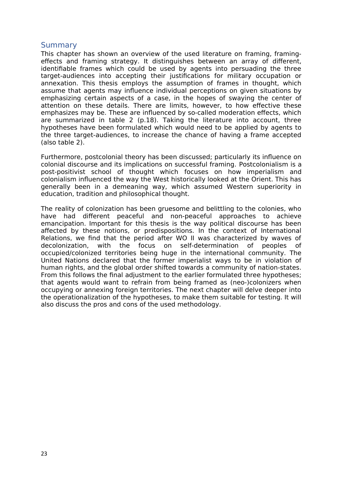#### <span id="page-23-0"></span>**Summary**

This chapter has shown an overview of the used literature on framing, framingeffects and framing strategy. It distinguishes between an array of different, identifiable frames which could be used by agents into persuading the three target-audiences into accepting their justifications for military occupation or annexation. This thesis employs the assumption of frames in thought, which assume that agents may influence individual perceptions on given situations by emphasizing certain aspects of a case, in the hopes of swaying the center of attention on these details. There are limits, however, to how effective these emphasizes may be. These are influenced by so-called moderation effects, which are summarized in table 2 (p.18). Taking the literature into account, three hypotheses have been formulated which would need to be applied by agents to the three target-audiences, to increase the chance of having a frame accepted (also table 2).

Furthermore, postcolonial theory has been discussed; particularly its influence on colonial discourse and its implications on successful framing. Postcolonialism is a post-positivist school of thought which focuses on how imperialism and colonialism influenced the way the West historically looked at the Orient. This has generally been in a demeaning way, which assumed Western superiority in education, tradition and philosophical thought.

The reality of colonization has been gruesome and belittling to the colonies, who have had different peaceful and non-peaceful approaches to achieve emancipation. Important for this thesis is the way political discourse has been affected by these notions, or predispositions. In the context of International Relations, we find that the period after WO II was characterized by waves of decolonization, with the focus on self-determination of peoples of occupied/colonized territories being huge in the international community. The United Nations declared that the former imperialist ways to be in violation of human rights, and the global order shifted towards a community of nation-states. From this follows the final adjustment to the earlier formulated three hypotheses; that agents would want to refrain from being framed as (neo-)colonizers when occupying or annexing foreign territories. The next chapter will delve deeper into the operationalization of the hypotheses, to make them suitable for testing. It will also discuss the pros and cons of the used methodology.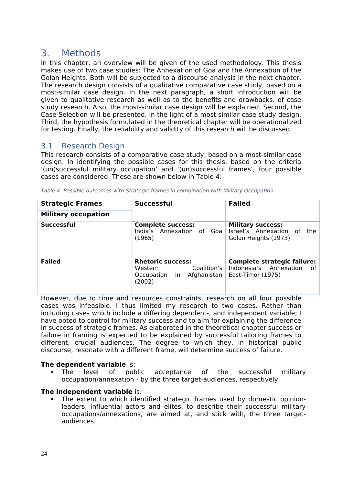# <span id="page-24-0"></span>3. Methods

In this chapter, an overview will be given of the used methodology. This thesis makes use of two case studies: The Annexation of Goa and the Annexation of the Golan Heights. Both will be subjected to a discourse analysis in the next chapter. The research design consists of a qualitative comparative case study, based on a most-similar case design. In the next paragraph, a short introduction will be given to qualitative research as well as to the benefits and drawbacks. of case study research. Also, the most-similar case design will be explained. Second, the Case Selection will be presented, in the light of a most similar case study design. Third, the hypothesis formulated in the theoretical chapter will be operationalized for testing. Finally, the reliability and validity of this research will be discussed.

#### <span id="page-24-1"></span>3.1 Research Design

This research consists of a comparative case study, based on a most-similar case design. In identifying the possible cases for this thesis, based on the criteria '(un)successful military occupation' and '(un)successful frames', four possible cases are considered. These are shown below in Table 4:

| <b>Strategic Frames</b>    | <b>Successful</b>                                                                            | <b>Failed</b>                                                                           |  |
|----------------------------|----------------------------------------------------------------------------------------------|-----------------------------------------------------------------------------------------|--|
| <b>Military occupation</b> |                                                                                              |                                                                                         |  |
| <b>Successful</b>          | <b>Complete success:</b><br>India's Annexation of Goa<br>(1965)                              | <b>Military success:</b><br>Israel's Annexation of<br>the<br>Golan Heights (1973)       |  |
| <b>Failed</b>              | <b>Rhetoric success:</b><br>Coalition's<br>Western<br>Occupation in<br>Afghanistan<br>(2002) | <b>Complete strategic failure:</b><br>Indonesia's Annexation<br>of<br>East-Timor (1975) |  |

Table 4: Possible outcomes with Strategic frames in combination with Military Occupation

However, due to time and resources constraints, research on all four possible cases was infeasible. I thus limited my research to two cases. Rather than including cases which include a differing dependent-, and independent variable; I have opted to control for military success and to aim for explaining the difference in success of strategic frames. As elaborated in the theoretical chapter success or failure in framing is expected to be explained by successful tailoring frames to different, crucial audiences. The degree to which they, in historical public discourse, resonate with a different frame, will determine success of failure.

#### **The dependent variable** is:

 The level of public acceptance of the successful military occupation/annexation - by the three target-audiences, respectively.

#### **The independent variable** is:

 The extent to which identified strategic frames used by domestic opinionleaders, influential actors and elites, to describe their successful military occupations/annexations, are aimed at, and stick with, the three targetaudiences.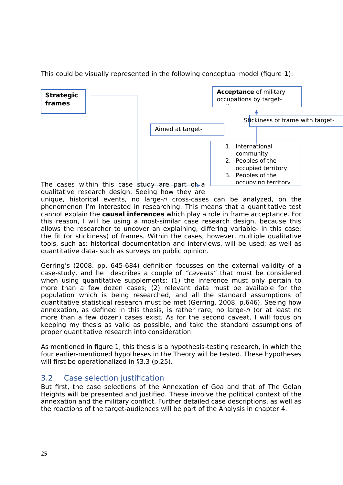This could be visually represented in the following conceptual model (figure **1**):



unique, historical events, no large-n cross-cases can be analyzed, on the phenomenon I'm interested in researching. This means that a quantitative test cannot explain the **causal inferences** which play a role in frame acceptance. For this reason, I will be using a most-similar case research design, because this allows the researcher to uncover an explaining, differing variable- in this case; the fit (or stickiness) of frames. Within the cases, however, multiple qualitative tools, such as: historical documentation and interviews, will be used; as well as quantitative data- such as surveys on public opinion.

Gerring's (2008. pp. 645-684) definition focusses on the external validity of a case-study, and he describes a couple of "caveats" that must be considered when using quantitative supplements: (1) the inference must only pertain to more than a few dozen cases; (2) relevant data must be available for the population which is being researched, and all the standard assumptions of quantitative statistical research must be met (Gerring. 2008, p.646). Seeing how annexation, as defined in this thesis, is rather rare, no large- $n$  (or at least no more than a few dozen) cases exist. As for the second caveat, I will focus on keeping my thesis as valid as possible, and take the standard assumptions of proper quantitative research into consideration.

As mentioned in figure 1, this thesis is a hypothesis-testing research, in which the four earlier-mentioned hypotheses in the Theory will be tested. These hypotheses will first be operationalized in §3.3 (p.25).

### <span id="page-25-0"></span>3.2 Case selection justification

But first, the case selections of the Annexation of Goa and that of The Golan Heights will be presented and justified. These involve the political context of the annexation and the military conflict. Further detailed case descriptions, as well as the reactions of the target-audiences will be part of the Analysis in chapter 4.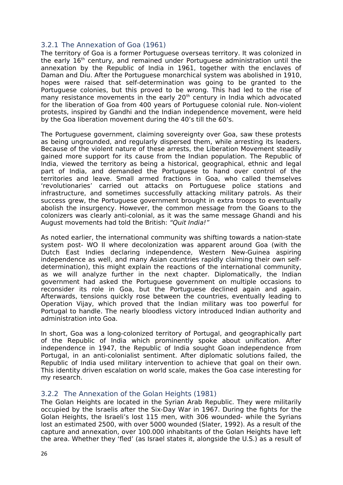#### <span id="page-26-0"></span>3.2.1 The Annexation of Goa (1961)

The territory of Goa is a former Portuguese overseas territory. It was colonized in the early 16th century, and remained under Portuguese administration until the annexation by the Republic of India in 1961, together with the enclaves of Daman and Diu. After the Portuguese monarchical system was abolished in 1910, hopes were raised that self-determination was going to be granted to the Portuguese colonies, but this proved to be wrong. This had led to the rise of many resistance movements in the early  $20<sup>th</sup>$  century in India which advocated for the liberation of Goa from 400 years of Portuguese colonial rule. Non-violent protests, inspired by Gandhi and the Indian independence movement, were held by the Goa liberation movement during the 40's till the 60's.

The Portuguese government, claiming sovereignty over Goa, saw these protests as being ungrounded, and regularly dispersed them, while arresting its leaders. Because of the violent nature of these arrests, the Liberation Movement steadily gained more support for its cause from the Indian population. The Republic of India, viewed the territory as being a historical, geographical, ethnic and legal part of India, and demanded the Portuguese to hand over control of the territories and leave. Small armed fractions in Goa, who called themselves 'revolutionaries' carried out attacks on Portuguese police stations and infrastructure, and sometimes successfully attacking military patrols. As their success grew, the Portuguese government brought in extra troops to eventually abolish the insurgency. However, the common message from the Goans to the colonizers was clearly anti-colonial, as it was the same message Ghandi and his August movements had told the British: "Quit India!"

As noted earlier, the international community was shifting towards a nation-state system post- WO II where decolonization was apparent around Goa (with the Dutch East Indies declaring independence, Western New-Guinea aspiring independence as well, and many Asian countries rapidly claiming their own selfdetermination), this might explain the reactions of the international community, as we will analyze further in the next chapter. Diplomatically, the Indian government had asked the Portuguese government on multiple occasions to reconsider its role in Goa, but the Portuguese declined again and again. Afterwards, tensions quickly rose between the countries, eventually leading to Operation Vijay, which proved that the Indian military was too powerful for Portugal to handle. The nearly bloodless victory introduced Indian authority and administration into Goa.

In short, Goa was a long-colonized territory of Portugal, and geographically part of the Republic of India which prominently spoke about unification. After independence in 1947, the Republic of India sought Goan independence from Portugal, in an anti-colonialist sentiment. After diplomatic solutions failed, the Republic of India used military intervention to achieve that goal on their own. This identity driven escalation on world scale, makes the Goa case interesting for my research.

#### <span id="page-26-1"></span>3.2.2 The Annexation of the Golan Heights (1981)

The Golan Heights are located in the Syrian Arab Republic. They were militarily occupied by the Israelis after the Six-Day War in 1967. During the fights for the Golan Heights, the Israeli's lost 115 men, with 306 wounded- while the Syrians lost an estimated 2500, with over 5000 wounded (Slater, 1992). As a result of the capture and annexation, over 100.000 inhabitants of the Golan Heights have left the area. Whether they 'fled' (as Israel states it, alongside the U.S.) as a result of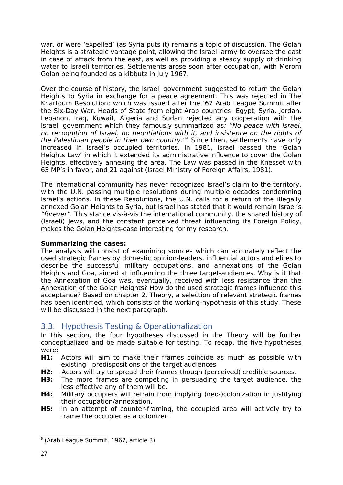war, or were 'expelled' (as Syria puts it) remains a topic of discussion. The Golan Heights is a strategic vantage point, allowing the Israeli army to oversee the east in case of attack from the east, as well as providing a steady supply of drinking water to Israeli territories. Settlements arose soon after occupation, with Merom Golan being founded as a kibbutz in July 1967.

Over the course of history, the Israeli government suggested to return the Golan Heights to Syria in exchange for a peace agreement. This was rejected in The Khartoum Resolution; which was issued after the '67 Arab League Summit after the Six-Day War. Heads of State from eight Arab countries: Egypt, Syria, Jordan, Lebanon, Iraq, Kuwait, Algeria and Sudan rejected any cooperation with the Israeli government which they famously summarized as: "No peace with Israel, no recognition of Israel, no negotiations with it, and insistence on the rights of the Palestinian people in their own country."<sup>[6](#page-27-1)</sup> Since then, settlements have only increased in Israel's occupied territories. In 1981, Israel passed the 'Golan Heights Law' in which it extended its administrative influence to cover the Golan Heights, effectively annexing the area. The Law was passed in the Knesset with 63 MP's in favor, and 21 against (Israel Ministry of Foreign Affairs, 1981).

The international community has never recognized Israel's claim to the territory, with the U.N. passing multiple resolutions during multiple decades condemning Israel's actions. In these Resolutions, the U.N. calls for a return of the illegally annexed Golan Heights to Syria, but Israel has stated that it would remain Israel's "forever". This stance vis-à-vis the international community, the shared history of (Israeli) Jews, and the constant perceived threat influencing its Foreign Policy, makes the Golan Heights-case interesting for my research.

#### **Summarizing the cases:**

The analysis will consist of examining sources which can accurately reflect the used strategic frames by domestic opinion-leaders, influential actors and elites to describe the successful military occupations, and annexations of the Golan Heights and Goa, aimed at influencing the three target-audiences. Why is it that the Annexation of Goa was, eventually, received with less resistance than the Annexation of the Golan Heights? How do the used strategic frames influence this acceptance? Based on chapter 2, Theory, a selection of relevant strategic frames has been identified, which consists of the working-hypothesis of this study. These will be discussed in the next paragraph.

### <span id="page-27-0"></span>3.3. Hypothesis Testing & Operationalization

In this section, the four hypotheses discussed in the Theory will be further conceptualized and be made suitable for testing. To recap, the five hypotheses were:

- **H1:** Actors will aim to make their frames coincide as much as possible with existing predispositions of the target audiences
- **H2:** Actors will try to spread their frames though (perceived) credible sources.
- **H3:** The more frames are competing in persuading the target audience, the less effective any of them will be.
- **H4:** Military occupiers will refrain from implying (neo-)colonization in justifying their occupation/annexation.
- **H5:** In an attempt of counter-framing, the occupied area will actively try to frame the occupier as a colonizer.

<span id="page-27-1"></span><sup>6</sup> (Arab League Summit, 1967, article 3)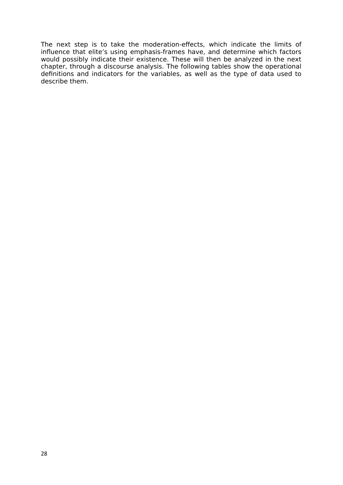The next step is to take the moderation-effects, which indicate the limits of influence that elite's using emphasis-frames have, and determine which factors would possibly indicate their existence. These will then be analyzed in the next chapter, through a discourse analysis. The following tables show the operational definitions and indicators for the variables, as well as the type of data used to describe them.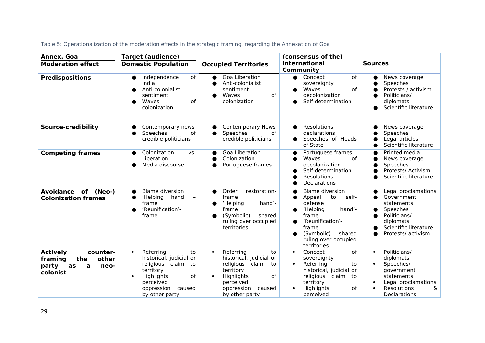| Annex. Goa                                                                                     | <b>Target (audience)</b>                                                                                                                                                              |                                                                                                                                                                                       | (consensus of the)                                                                                                                                                                         |                                                                                                                                                                      |
|------------------------------------------------------------------------------------------------|---------------------------------------------------------------------------------------------------------------------------------------------------------------------------------------|---------------------------------------------------------------------------------------------------------------------------------------------------------------------------------------|--------------------------------------------------------------------------------------------------------------------------------------------------------------------------------------------|----------------------------------------------------------------------------------------------------------------------------------------------------------------------|
| <b>Moderation effect</b>                                                                       | <b>Domestic Population</b>                                                                                                                                                            | <b>Occupied Territories</b>                                                                                                                                                           | <b>International</b><br>Community                                                                                                                                                          | <b>Sources</b>                                                                                                                                                       |
| <b>Predispositions</b>                                                                         | Independence<br>of<br>$\bullet$<br>India<br>Anti-colonialist<br>sentiment<br>of<br>Waves<br>colonization                                                                              | Goa Liberation<br>Anti-colonialist<br>sentiment<br>of<br>Waves<br>$\bullet$<br>colonization                                                                                           | $\overline{of}$<br>$\bullet$ Concept<br>sovereignty<br>of<br>Waves<br>decolonization<br>Self-determination                                                                                 | News coverage<br>Speeches<br>Protests / activism<br>Politicians/<br>diplomats<br>Scientific literature                                                               |
| <b>Source-credibility</b>                                                                      | Contemporary news<br>Speeches<br>of<br>credible politicians                                                                                                                           | <b>Contemporary News</b><br>Speeches<br>0f<br>$\bullet$<br>credible politicians                                                                                                       | Resolutions<br>●<br>declarations<br>Speeches of Heads<br>$\bullet$<br>of State                                                                                                             | News coverage<br>Speeches<br>Legal articles<br>Scientific literature                                                                                                 |
| <b>Competing frames</b>                                                                        | Colonization<br>VS.<br>Liberation<br>Media discourse                                                                                                                                  | Goa Liberation<br>Colonization<br>Portuguese frames                                                                                                                                   | Portuguese frames<br>Waves<br>of<br>decolonization<br>Self-determination<br>Resolutions<br>Declarations                                                                                    | Printed media<br>News coverage<br>Speeches<br>Protests/ Activism<br>Scientific literature                                                                            |
| <b>Avoidance</b><br>of<br>(Neo-)<br><b>Colonization frames</b>                                 | <b>Blame diversion</b><br>$\bullet$<br>'Helping<br>hand'<br>$\overline{\phantom{a}}$<br>frame<br>'Reunification'-<br>●<br>frame                                                       | Order<br>restoration-<br>$\bullet$<br>frame<br>'Helping<br>hand'-<br>frame<br>(Symbolic)<br>shared<br>ruling over occupied<br>territories                                             | <b>Blame diversion</b><br>self-<br>Appeal<br>to<br>defense<br>'Helping<br>hand'-<br>frame<br>'Reunification'-<br>●<br>frame<br>(Symbolic)<br>shared<br>ruling over occupied<br>territories | Legal proclamations<br>Government<br>statements<br>Speeches<br>Politicians/<br>diplomats<br>Scientific literature<br>Protests/ activism                              |
| <b>Actively</b><br>counter-<br>other<br>framing<br>the<br>party<br>as<br>a<br>neo-<br>colonist | Referring<br>to<br>$\bullet$<br>historical, judicial or<br>religious claim<br>to<br>territory<br>Highlights<br>of<br>$\bullet$<br>perceived<br>oppression<br>caused<br>by other party | Referring<br>to<br>$\bullet$<br>historical, judicial or<br>religious claim<br>to<br>territory<br>Highlights<br>of<br>$\bullet$<br>perceived<br>oppression<br>caused<br>by other party | of<br>Concept<br>$\bullet$<br>sovereignty<br>Referring<br>to<br>$\bullet$<br>historical, judicial or<br>religious<br>claim<br>to<br>territory<br>Highlights<br>of<br>perceived             | Politicians/<br>$\bullet$<br>diplomats<br>Speeches/<br>$\bullet$<br>government<br>statements<br>Legal proclamations<br>&<br>Resolutions<br>$\bullet$<br>Declarations |

Table 5: Operationalization of the moderation effects in the strategic framing, regarding the Annexation of Goa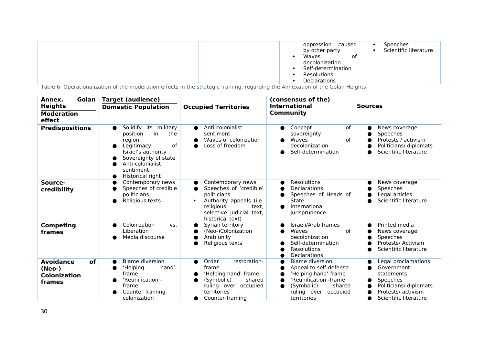|  | oppression<br>caused<br>by other party<br>Waves<br>0t<br>decolonization<br>Self-determination<br>Resolutions<br><b>Declarations</b> | <b>Speeches</b><br>Scientific literature |
|--|-------------------------------------------------------------------------------------------------------------------------------------|------------------------------------------|
|--|-------------------------------------------------------------------------------------------------------------------------------------|------------------------------------------|

Table 6: Operationalization of the moderation effects in the strategic framing, regarding the Annexation of the Golan Heights

| Golan<br>Annex.                                                   | <b>Target (audience)</b>                                                                                                                                                        |                                                                                                                                                                    | (consensus of the)                                                                                                                                                  |                                                                                                                                      |
|-------------------------------------------------------------------|---------------------------------------------------------------------------------------------------------------------------------------------------------------------------------|--------------------------------------------------------------------------------------------------------------------------------------------------------------------|---------------------------------------------------------------------------------------------------------------------------------------------------------------------|--------------------------------------------------------------------------------------------------------------------------------------|
| <b>Heights</b><br><b>Moderation</b><br>effect                     | <b>Domestic Population</b>                                                                                                                                                      | <b>Occupied Territories</b>                                                                                                                                        | <b>International</b><br>Community                                                                                                                                   | <b>Sources</b>                                                                                                                       |
| <b>Predispositions</b>                                            | Solidify its military<br>position<br>in<br>the<br>region<br>of<br>Legitimacy<br>Israel's authority<br>Sovereignty of state<br>Anti-colonialist<br>sentiment<br>Historical right | Anti-colonialist<br>$\bullet$<br>sentiment<br>Waves of colonization<br>Loss of freedom                                                                             | of<br>Concept<br>●<br>sovereignty<br>of<br>Waves<br>decolonization<br>Self-determination<br>▲                                                                       | News coverage<br>Speeches<br>Protests / activism<br>Politicians/ diplomats<br>Scientific literature                                  |
| Source-<br>credibility                                            | Contemporary news<br>Speeches of credible<br>politicians<br>Religious texts                                                                                                     | Contemporary news<br>Speeches of 'credible'<br>politicians<br>Authority appeals (i.e.<br>religious<br>text.<br>selective judicial text,<br>historical text)        | Resolutions<br>$\bullet$<br>Declarations<br>Speeches of Heads of<br>State<br>International<br>●<br>jurisprudence                                                    | News coverage<br>Speeches<br>Legal articles<br>Scientific literature                                                                 |
| <b>Competing</b><br>frames                                        | Colonization<br>VS.<br>Liberation<br>Media discourse                                                                                                                            | Syrian territory<br>(Neo-)Colonization<br>Arab unity<br>Religious texts                                                                                            | Israeli/Arab frames<br>Waves<br>of<br>decolonization<br>Self-determination<br><b>Resolutions</b><br>Declarations                                                    | Printed media<br>News coverage<br>Speeches<br>Protests/ Activism<br>Scientific literature                                            |
| <b>Avoidance</b><br>of<br>(Neo-)<br><b>Colonization</b><br>frames | <b>Blame diversion</b><br>hand'-<br>'Helping<br>frame<br>'Reunification'-<br>frame<br>Counter-framing<br>colonization                                                           | Order<br>restoration-<br>$\bullet$<br>frame<br>'Helping hand'-frame<br>(Symbolic)<br>shared<br>ruling over occupied<br>territories<br>Counter-framing<br>$\bullet$ | <b>Blame diversion</b><br>Appeal to self-defense<br>'Helping hand'-frame<br>'Reunification'-frame<br>(Symbolic)<br>shared<br>ruling over<br>occupied<br>territories | Legal proclamations<br>Government<br>statements<br>Speeches<br>Politicians/ diplomats<br>Protests/ activism<br>Scientific literature |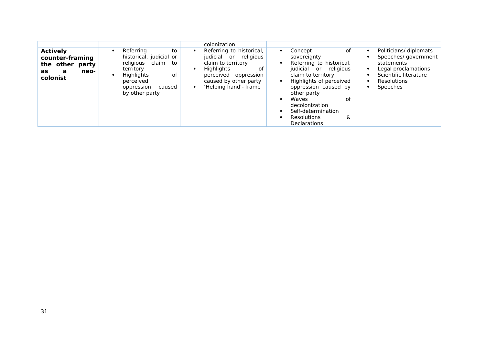|                                                                                      |                                                                                                                                                             | colonization                                                                                                                                                                 |                                                                                                                                                                                                                                                                                    |                                                                                                                                        |
|--------------------------------------------------------------------------------------|-------------------------------------------------------------------------------------------------------------------------------------------------------------|------------------------------------------------------------------------------------------------------------------------------------------------------------------------------|------------------------------------------------------------------------------------------------------------------------------------------------------------------------------------------------------------------------------------------------------------------------------------|----------------------------------------------------------------------------------------------------------------------------------------|
| <b>Actively</b><br>counter-framing<br>the other party<br>neo-<br>as<br>a<br>colonist | Referring<br>to<br>historical, judicial or<br>religious claim<br>to<br>territory<br>Highlights<br>0f<br>perceived<br>oppression<br>caused<br>by other party | Referring to historical,<br>judicial or religious<br>claim to territory<br><b>Highlights</b><br>0f<br>perceived oppression<br>caused by other party<br>'Helping hand'- frame | of<br>Concept<br>sovereignty<br>Referring to historical,<br>judicial or religious<br>claim to territory<br>Highlights of perceived<br>oppression caused by<br>other party<br>of<br>Waves<br>decolonization<br>Self-determination<br><b>Resolutions</b><br>&<br><b>Declarations</b> | Politicians/ diplomats<br>Speeches/government<br>statements<br>Legal proclamations<br>Scientific literature<br>Resolutions<br>Speeches |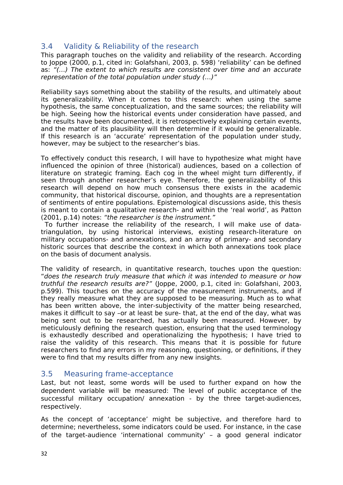#### <span id="page-32-0"></span>3.4 Validity & Reliability of the research

This paragraph touches on the validity and reliability of the research. According to Joppe (2000, p.1, cited in: Golafshani, 2003, p. 598) 'reliability' can be defined as: "(…) The extent to which results are consistent over time and an accurate representation of the total population under study (…)"

Reliability says something about the stability of the results, and ultimately about its generalizability. When it comes to this research: when using the same hypothesis, the same conceptualization, and the same sources; the reliability will be high. Seeing how the historical events under consideration have passed, and the results have been documented, it is retrospectively explaining certain events, and the matter of its plausibility will then determine if it would be generalizable. If this research is an 'accurate' representation of the population under study, however, may be subject to the researcher's bias.

To effectively conduct this research, I will have to hypothesize what might have influenced the opinion of three (historical) audiences, based on a collection of literature on strategic framing. Each cog in the wheel might turn differently, if seen through another researcher's eye. Therefore, the generalizability of this research will depend on how much consensus there exists in the academic community, that historical discourse, opinion, and thoughts are a representation of sentiments of entire populations. Epistemological discussions aside, this thesis is meant to contain a qualitative research- and within the 'real world', as Patton (2001, p.14) notes: "the researcher is the instrument."

 To further increase the reliability of the research, I will make use of datatriangulation, by using historical interviews, existing research-literature on military occupations- and annexations, and an array of primary- and secondary historic sources that describe the context in which both annexations took place on the basis of document analysis.

The validity of research, in quantitative research, touches upon the question: "does the research truly measure that which it was intended to measure or how truthful the research results are?" (Joppe, 2000, p.1, cited in: Golafshani, 2003, p.599). This touches on the accuracy of the measurement instruments, and if they really measure what they are supposed to be measuring. Much as to what has been written above, the inter-subjectivity of the matter being researched, makes it difficult to say –or at least be sure- that, at the end of the day, what was being sent out to be researched, has actually been measured. However, by meticulously defining the research question, ensuring that the used terminology is exhaustedly described and operationalizing the hypothesis; I have tried to raise the validity of this research. This means that it is possible for future researchers to find any errors in my reasoning, questioning, or definitions, if they were to find that my results differ from any new insights.

#### <span id="page-32-1"></span>3.5 Measuring frame-acceptance

Last, but not least, some words will be used to further expand on how the dependent variable will be measured: The level of public acceptance of the successful military occupation/ annexation - by the three target-audiences, respectively.

As the concept of 'acceptance' might be subjective, and therefore hard to determine; nevertheless, some indicators could be used. For instance, in the case of the target-audience 'international community' – a good general indicator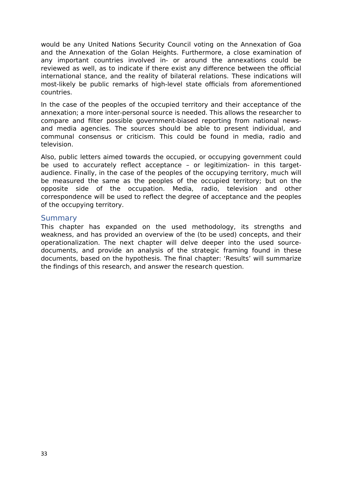would be any United Nations Security Council voting on the Annexation of Goa and the Annexation of the Golan Heights. Furthermore, a close examination of any important countries involved in- or around the annexations could be reviewed as well, as to indicate if there exist any difference between the official international stance, and the reality of bilateral relations. These indications will most-likely be public remarks of high-level state officials from aforementioned countries.

In the case of the peoples of the occupied territory and their acceptance of the annexation; a more inter-personal source is needed. This allows the researcher to compare and filter possible government-biased reporting from national newsand media agencies. The sources should be able to present individual, and communal consensus or criticism. This could be found in media, radio and television.

Also, public letters aimed towards the occupied, or occupying government could be used to accurately reflect acceptance – or legitimization- in this targetaudience. Finally, in the case of the peoples of the occupying territory, much will be measured the same as the peoples of the occupied territory; but on the opposite side of the occupation. Media, radio, television and other correspondence will be used to reflect the degree of acceptance and the peoples of the occupying territory.

#### <span id="page-33-0"></span>**Summary**

This chapter has expanded on the used methodology, its strengths and weakness, and has provided an overview of the (to be used) concepts, and their operationalization. The next chapter will delve deeper into the used sourcedocuments, and provide an analysis of the strategic framing found in these documents, based on the hypothesis. The final chapter: 'Results' will summarize the findings of this research, and answer the research question.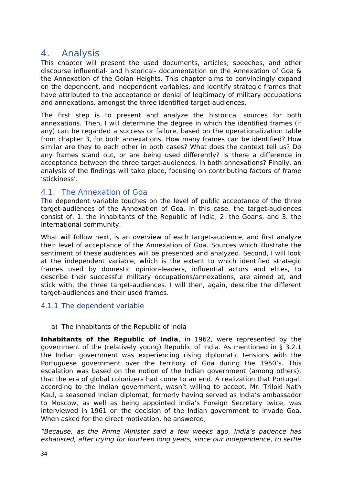## <span id="page-34-0"></span>4. Analysis

This chapter will present the used documents, articles, speeches, and other discourse influential- and historical- documentation on the Annexation of Goa & the Annexation of the Golan Heights. This chapter aims to convincingly expand on the dependent, and independent variables, and identify strategic frames that have attributed to the acceptance or denial of legitimacy of military occupations and annexations, amongst the three identified target-audiences.

The first step is to present and analyze the historical sources for both annexations. Then, I will determine the degree in which the identified frames (if any) can be regarded a success or failure, based on the operationalization table from chapter 3, for both annexations. How many frames can be identified? How similar are they to each other in both cases? What does the context tell us? Do any frames stand out, or are being used differently? Is there a difference in acceptance between the three target-audiences, in both annexations? Finally, an analysis of the findings will take place, focusing on contributing factors of frame 'stickiness'.

#### <span id="page-34-1"></span>4.1 The Annexation of Goa

The dependent variable touches on the level of public acceptance of the three target-audiences of the Annexation of Goa. In this case, the target-audiences consist of: 1. the inhabitants of the Republic of India; 2. the Goans, and 3. the international community.

What will follow next, is an overview of each target-audience, and first analyze their level of acceptance of the Annexation of Goa. Sources which illustrate the sentiment of these audiences will be presented and analyzed. Second, I will look at the independent variable, which is the extent to which identified strategic frames used by domestic opinion-leaders, influential actors and elites, to describe their successful military occupations/annexations, are aimed at, and stick with, the three target-audiences. I will then, again, describe the different target-audiences and their used frames.

#### <span id="page-34-2"></span>4.1.1 The dependent variable

a) The inhabitants of the Republic of India

**Inhabitants of the Republic of India**, in 1962, were represented by the government of the (relatively young) Republic of India. As mentioned in § 3.2.1 the Indian government was experiencing rising diplomatic tensions with the Portuguese government over the territory of Goa during the 1950's. This escalation was based on the notion of the Indian government (among others), that the era of global colonizers had come to an end. A realization that Portugal, according to the Indian government, wasn't willing to accept. Mr. Triloki Nath Kaul, a seasoned Indian diplomat, formerly having served as India's ambassador to Moscow, as well as being appointed India's Foreign Secretary twice, was interviewed in 1961 on the decision of the Indian government to invade Goa. When asked for the direct motivation, he answered;

"Because, as the Prime Minister said a few weeks ago, India's patience has exhausted, after trying for fourteen long years, since our independence, to settle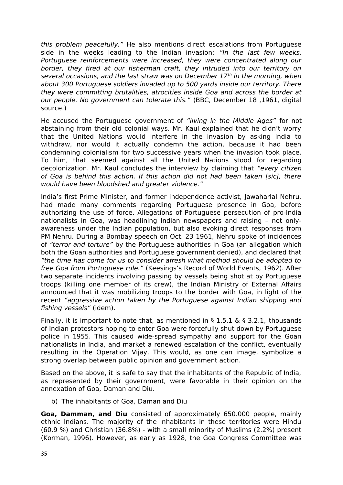this problem peacefully." He also mentions direct escalations from Portuguese side in the weeks leading to the Indian invasion: "In the last few weeks, Portuguese reinforcements were increased, they were concentrated along our border, they fired at our fisherman craft, they intruded into our territory on several occasions, and the last straw was on December  $17<sup>th</sup>$  in the morning, when about 300 Portuguese soldiers invaded up to 500 yards inside our territory. There they were committing brutalities, atrocities inside Goa and across the border at our people. No government can tolerate this." (BBC, December 18 ,1961, digital source.)

He accused the Portuguese government of "living in the Middle Ages" for not abstaining from their old colonial ways. Mr. Kaul explained that he didn't worry that the United Nations would interfere in the invasion by asking India to withdraw, nor would it actually condemn the action, because it had been condemning colonialism for two successive years when the invasion took place. To him, that seemed against all the United Nations stood for regarding decolonization. Mr. Kaul concludes the interview by claiming that "every citizen of Goa is behind this action. If this action did not had been taken [sic], there would have been bloodshed and greater violence."

India's first Prime Minister, and former independence activist, Jawaharlal Nehru, had made many comments regarding Portuguese presence in Goa, before authorizing the use of force. Allegations of Portuguese persecution of pro-India nationalists in Goa, was headlining Indian newspapers and raising – not onlyawareness under the Indian population, but also evoking direct responses from PM Nehru. During a Bombay speech on Oct. 23 1961, Nehru spoke of incidences of "terror and torture" by the Portuguese authorities in Goa (an allegation which both the Goan authorities and Portuguese government denied), and declared that "the time has come for us to consider afresh what method should be adopted to free Goa from Portuguese rule." (Keesings's Record of World Events, 1962). After two separate incidents involving passing by vessels being shot at by Portuguese troops (killing one member of its crew), the Indian Ministry of External Affairs announced that it was mobilizing troops to the border with Goa, in light of the recent "aggressive action taken by the Portuguese against Indian shipping and fishing vessels" (idem).

Finally, it is important to note that, as mentioned in § 1.5.1 & § 3.2.1, thousands of Indian protestors hoping to enter Goa were forcefully shut down by Portuguese police in 1955. This caused wide-spread sympathy and support for the Goan nationalists in India, and market a renewed escalation of the conflict, eventually resulting in the Operation Vijay. This would, as one can image, symbolize a strong overlap between public opinion and government action.

Based on the above, it is safe to say that the inhabitants of the Republic of India, as represented by their government, were favorable in their opinion on the annexation of Goa, Daman and Diu.

b) The inhabitants of Goa, Daman and Diu

**Goa, Damman, and Diu** consisted of approximately 650.000 people, mainly ethnic Indians. The majority of the inhabitants in these territories were Hindu (60.9 %) and Christian (36.8%) - with a small minority of Muslims (2.2%) present (Korman, 1996). However, as early as 1928, the Goa Congress Committee was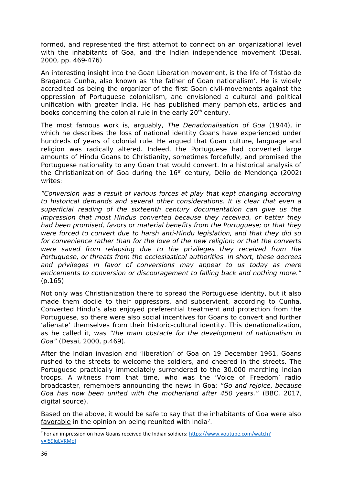formed, and represented the first attempt to connect on an organizational level with the inhabitants of Goa, and the Indian independence movement (Desai, 2000, pp. 469-476)

An interesting insight into the Goan Liberation movement, is the life of Tristào de Bragança Cunha, also known as 'the father of Goan nationalism'. He is widely accredited as being the organizer of the first Goan civil-movements against the oppression of Portuguese colonialism, and envisioned a cultural and political unification with greater India. He has published many pamphlets, articles and books concerning the colonial rule in the early 20<sup>th</sup> century.

The most famous work is, arguably, The Denationalisation of Goa (1944), in which he describes the loss of national identity Goans have experienced under hundreds of years of colonial rule. He argued that Goan culture, language and religion was radically altered. Indeed, the Portuguese had converted large amounts of Hindu Goans to Christianity, sometimes forcefully, and promised the Portuguese nationality to any Goan that would convert. In a historical analysis of the Christianization of Goa during the 16<sup>th</sup> century, Dèlio de Mendonça (2002) writes:

"Conversion was a result of various forces at play that kept changing according to historical demands and several other considerations. It is clear that even a superficial reading of the sixteenth century documentation can give us the impression that most Hindus converted because they received, or better they had been promised, favors or material benefits from the Portuguese; or that they were forced to convert due to harsh anti-Hindu legislation, and that they did so for convenience rather than for the love of the new religion; or that the converts were saved from relapsing due to the privileges they received from the Portuguese, or threats from the ecclesiastical authorities. In short, these decrees and privileges in favor of conversions may appear to us today as mere enticements to conversion or discouragement to falling back and nothing more." (p.165)

Not only was Christianization there to spread the Portuguese identity, but it also made them docile to their oppressors, and subservient, according to Cunha. Converted Hindu's also enjoyed preferential treatment and protection from the Portuguese, so there were also social incentives for Goans to convert and further 'alienate' themselves from their historic-cultural identity. This denationalization, as he called it, was "the main obstacle for the development of nationalism in Goa" (Desai, 2000, p.469).

After the Indian invasion and 'liberation' of Goa on 19 December 1961, Goans rushed to the streets to welcome the soldiers, and cheered in the streets. The Portuguese practically immediately surrendered to the 30.000 marching Indian troops. A witness from that time, who was the 'Voice of Freedom' radio broadcaster, remembers announcing the news in Goa: "Go and rejoice, because Goa has now been united with the motherland after 450 years." (BBC, 2017, digital source).

Based on the above, it would be safe to say that the inhabitants of Goa were also favorable in the opinion on being reunited with India<sup>[7](#page-36-0)</sup>.

<span id="page-36-0"></span><sup>&</sup>lt;sup>7</sup> For an impression on how Goans received the Indian soldiers: [https://www.youtube.com/watch?](https://www.youtube.com/watch?v=I59lqLVKMoI) [v=I59lqLVKMoI](https://www.youtube.com/watch?v=I59lqLVKMoI)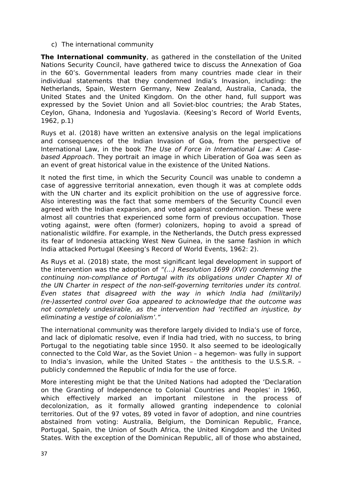c) The international community

**The International community**, as gathered in the constellation of the United Nations Security Council, have gathered twice to discuss the Annexation of Goa in the 60's. Governmental leaders from many countries made clear in their individual statements that they condemned India's Invasion, including: the Netherlands, Spain, Western Germany, New Zealand, Australia, Canada, the United States and the United Kingdom. On the other hand, full support was expressed by the Soviet Union and all Soviet-bloc countries; the Arab States, Ceylon, Ghana, Indonesia and Yugoslavia. (Keesing's Record of World Events, 1962, p.1)

Ruys et al. (2018) have written an extensive analysis on the legal implications and consequences of the Indian Invasion of Goa, from the perspective of International Law, in the book The Use of Force in International Law: A Casebased Approach. They portrait an image in which Liberation of Goa was seen as an event of great historical value in the existence of the United Nations.

It noted the first time, in which the Security Council was unable to condemn a case of aggressive territorial annexation, even though it was at complete odds with the UN charter and its explicit prohibition on the use of aggressive force. Also interesting was the fact that some members of the Security Council even agreed with the Indian expansion, and voted against condemnation. These were almost all countries that experienced some form of previous occupation. Those voting against, were often (former) colonizers, hoping to avoid a spread of nationalistic wildfire. For example, in the Netherlands, the Dutch press expressed its fear of Indonesia attacking West New Guinea, in the same fashion in which India attacked Portugal (Keesing's Record of World Events, 1962: 2).

As Ruys et al. (2018) state, the most significant legal development in support of the intervention was the adoption of "(…) Resolution 1699 (XVI) condemning the continuing non-compliance of Portugal with its obligations under Chapter XI of the UN Charter in respect of the non-self-governing territories under its control. Even states that disagreed with the way in which India had (militarily) (re-)asserted control over Goa appeared to acknowledge that the outcome was not completely undesirable, as the intervention had 'rectified an injustice, by eliminating a vestige of colonialism'."

The international community was therefore largely divided to India's use of force, and lack of diplomatic resolve, even if India had tried, with no success, to bring Portugal to the negotiating table since 1950. It also seemed to be ideologically connected to the Cold War, as the Soviet Union – a hegemon- was fully in support to India's invasion, while the United States – the antithesis to the U.S.S.R. – publicly condemned the Republic of India for the use of force.

More interesting might be that the United Nations had adopted the 'Declaration on the Granting of Independence to Colonial Countries and Peoples' in 1960, which effectively marked an important milestone in the process of decolonization, as it formally allowed granting independence to colonial territories. Out of the 97 votes, 89 voted in favor of adoption, and nine countries abstained from voting: Australia, Belgium, the Dominican Republic, France, Portugal, Spain, the Union of South Africa, the United Kingdom and the United States. With the exception of the Dominican Republic, all of those who abstained,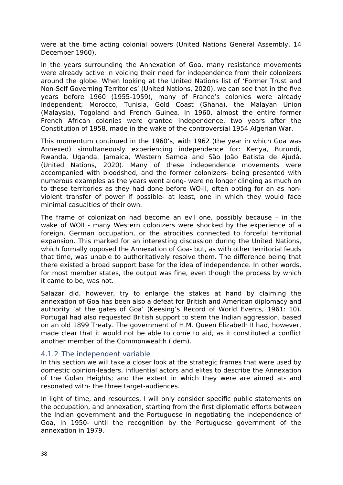were at the time acting colonial powers (United Nations General Assembly, 14 December 1960).

In the years surrounding the Annexation of Goa, many resistance movements were already active in voicing their need for independence from their colonizers around the globe. When looking at the United Nations list of 'Former Trust and Non-Self Governing Territories' (United Nations, 2020), we can see that in the five years before 1960 (1955-1959), many of France's colonies were already independent; Morocco, Tunisia, Gold Coast (Ghana), the Malayan Union (Malaysia), Togoland and French Guinea. In 1960, almost the entire former French African colonies were granted independence, two years after the Constitution of 1958, made in the wake of the controversial 1954 Algerian War.

This momentum continued in the 1960's, with 1962 (the year in which Goa was Annexed) simultaneously experiencing independence for: Kenya, Burundi, Rwanda, Uganda. Jamaica, Western Samoa and São João Batista de Ajudá. (United Nations, 2020). Many of these independence movements were accompanied with bloodshed, and the former colonizers- being presented with numerous examples as the years went along- were no longer clinging as much on to these territories as they had done before WO-II, often opting for an as nonviolent transfer of power if possible- at least, one in which they would face minimal casualties of their own.

The frame of colonization had become an evil one, possibly because – in the wake of WOII - many Western colonizers were shocked by the experience of a foreign, German occupation, or the atrocities connected to forceful territorial expansion. This marked for an interesting discussion during the United Nations, which formally opposed the Annexation of Goa- but, as with other territorial feuds that time, was unable to authoritatively resolve them. The difference being that there existed a broad support base for the idea of independence. In other words, for most member states, the output was fine, even though the process by which it came to be, was not.

Salazar did, however, try to enlarge the stakes at hand by claiming the annexation of Goa has been also a defeat for British and American diplomacy and authority 'at the gates of Goa' (Keesing's Record of World Events, 1961: 10). Portugal had also requested British support to stem the Indian aggression, based on an old 1899 Treaty. The government of H.M. Queen Elizabeth II had, however, made clear that it would not be able to come to aid, as it constituted a conflict another member of the Commonwealth (idem).

#### <span id="page-38-0"></span>4.1.2 The independent variable

In this section we will take a closer look at the strategic frames that were used by domestic opinion-leaders, influential actors and elites to describe the Annexation of the Golan Heights; and the extent in which they were are aimed at- and resonated with- the three target-audiences.

In light of time, and resources, I will only consider specific public statements on the occupation, and annexation, starting from the first diplomatic efforts between the Indian government and the Portuguese in negotiating the independence of Goa, in 1950- until the recognition by the Portuguese government of the annexation in 1979.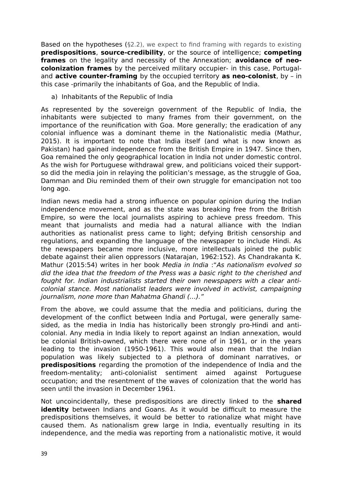Based on the hypotheses (§2.2), we expect to find framing with regards to existing **predispositions**, **source-credibility**, or the source of intelligence; **competing frames** on the legality and necessity of the Annexation; **avoidance of neocolonization frames** by the perceived military occupier- in this case, Portugaland **active counter-framing** by the occupied territory **as neo-colonist**, by – in this case -primarily the inhabitants of Goa, and the Republic of India.

a) Inhabitants of the Republic of India

As represented by the sovereign government of the Republic of India, the inhabitants were subjected to many frames from their government, on the importance of the reunification with Goa. More generally; the eradication of any colonial influence was a dominant theme in the Nationalistic media (Mathur, 2015). It is important to note that India itself (and what is now known as Pakistan) had gained independence from the British Empire in 1947. Since then, Goa remained the only geographical location in India not under domestic control. As the wish for Portuguese withdrawal grew, and politicians voiced their supportso did the media join in relaying the politician's message, as the struggle of Goa, Damman and Diu reminded them of their own struggle for emancipation not too long ago.

Indian news media had a strong influence on popular opinion during the Indian independence movement, and as the state was breaking free from the British Empire, so were the local journalists aspiring to achieve press freedom. This meant that journalists and media had a natural alliance with the Indian authorities as nationalist press came to light; defying British censorship and regulations, and expanding the language of the newspaper to include Hindi. As the newspapers became more inclusive, more intellectuals joined the public debate against their alien oppressors (Natarajan, 1962:152). As Chandrakanta K. Mathur (2015:54) writes in her book Media in India :"As nationalism evolved so did the idea that the freedom of the Press was a basic right to the cherished and fought for. Indian industrialists started their own newspapers with a clear anticolonial stance. Most nationalist leaders were involved in activist, campaigning journalism, none more than Mahatma Ghandi (…)."

From the above, we could assume that the media and politicians, during the development of the conflict between India and Portugal, were generally samesided, as the media in India has historically been strongly pro-Hindi and anticolonial. Any media in India likely to report against an Indian annexation, would be colonial British-owned, which there were none of in 1961, or in the years leading to the invasion (1950-1961). This would also mean that the Indian population was likely subjected to a plethora of dominant narratives, or **predispositions** regarding the promotion of the independence of India and the freedom-mentality; anti-colonialist sentiment aimed against Portuguese occupation; and the resentment of the waves of colonization that the world has seen until the invasion in December 1961.

Not uncoincidentally, these predispositions are directly linked to the **shared identity** between Indians and Goans. As it would be difficult to measure the predispositions themselves, it would be better to rationalize what might have caused them. As nationalism grew large in India, eventually resulting in its independence, and the media was reporting from a nationalistic motive, it would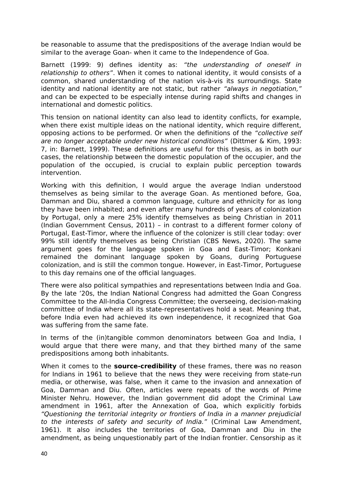be reasonable to assume that the predispositions of the average Indian would be similar to the average Goan- when it came to the Independence of Goa.

Barnett (1999: 9) defines identity as: "the understanding of oneself in relationship to others". When it comes to national identity, it would consists of a common, shared understanding of the nation vis-à-vis its surroundings. State identity and national identity are not static, but rather "always in negotiation," and can be expected to be especially intense during rapid shifts and changes in international and domestic politics.

This tension on national identity can also lead to identity conflicts, for example, when there exist multiple ideas on the national identity, which require different, opposing actions to be performed. Or when the definitions of the "collective self are no longer acceptable under new historical conditions" (Dittmer & Kim, 1993: 7, in: Barnett, 1999). These definitions are useful for this thesis, as in both our cases, the relationship between the domestic population of the occupier, and the population of the occupied, is crucial to explain public perception towards intervention.

Working with this definition, I would argue the average Indian understood themselves as being similar to the average Goan. As mentioned before, Goa, Damman and Diu, shared a common language, culture and ethnicity for as long they have been inhabited; and even after many hundreds of years of colonization by Portugal, only a mere 25% identify themselves as being Christian in 2011 (Indian Government Census, 2011) – in contrast to a different former colony of Portugal, East-Timor, where the influence of the colonizer is still clear today: over 99% still identify themselves as being Christian (CBS News, 2020). The same argument goes for the language spoken in Goa and East-Timor; Konkani remained the dominant language spoken by Goans, during Portuguese colonization, and is still the common tongue. However, in East-Timor, Portuguese to this day remains one of the official languages.

There were also political sympathies and representations between India and Goa. By the late '20s, the Indian National Congress had admitted the Goan Congress Committee to the All-India Congress Committee; the overseeing, decision-making committee of India where all its state-representatives hold a seat. Meaning that, before India even had achieved its own independence, it recognized that Goa was suffering from the same fate.

In terms of the (in)tangible common denominators between Goa and India, I would argue that there were many, and that they birthed many of the same predispositions among both inhabitants.

When it comes to the **source-credibility** of these frames, there was no reason for Indians in 1961 to believe that the news they were receiving from state-run media, or otherwise, was false, when it came to the invasion and annexation of Goa, Damman and Diu. Often, articles were repeats of the words of Prime Minister Nehru. However, the Indian government did adopt the Criminal Law amendment in 1961, after the Annexation of Goa, which explicitly forbids "Questioning the territorial integrity or frontiers of India in a manner prejudicial to the interests of safety and security of India." (Criminal Law Amendment, 1961). It also includes the territories of Goa, Damman and Diu in the amendment, as being unquestionably part of the Indian frontier. Censorship as it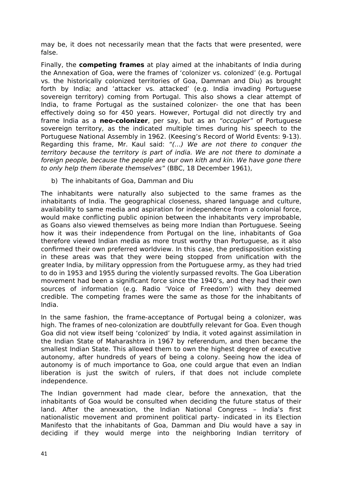may be, it does not necessarily mean that the facts that were presented, were false.

Finally, the **competing frames** at play aimed at the inhabitants of India during the Annexation of Goa, were the frames of 'colonizer vs. colonized' (e.g. Portugal vs. the historically colonized territories of Goa, Damman and Diu) as brought forth by India; and 'attacker vs. attacked' (e.g. India invading Portuguese sovereign territory) coming from Portugal. This also shows a clear attempt of India, to frame Portugal as the sustained colonizer- the one that has been effectively doing so for 450 years. However, Portugal did not directly try and frame India as a **neo-colonizer**, per say, but as an "occupier" of Portuguese sovereign territory, as the indicated multiple times during his speech to the Portuguese National Assembly in 1962. (Keesing's Record of World Events: 9-13). Regarding this frame, Mr. Kaul said: "(…) We are not there to conquer the territory because the territory is part of india. We are not there to dominate a foreign people, because the people are our own kith and kin. We have gone there to only help them liberate themselves" (BBC, 18 December 1961),

b) The inhabitants of Goa, Damman and Diu

The inhabitants were naturally also subjected to the same frames as the inhabitants of India. The geographical closeness, shared language and culture, availability to same media and aspiration for independence from a colonial force, would make conflicting public opinion between the inhabitants very improbable, as Goans also viewed themselves as being more Indian than Portuguese. Seeing how it was their independence from Portugal on the line, inhabitants of Goa therefore viewed Indian media as more trust worthy than Portuguese, as it also confirmed their own preferred worldview. In this case, the predisposition existing in these areas was that they were being stopped from unification with the greater India, by military oppression from the Portuguese army, as they had tried to do in 1953 and 1955 during the violently surpassed revolts. The Goa Liberation movement had been a significant force since the 1940's, and they had their own sources of information (e.g. Radio 'Voice of Freedom') with they deemed credible. The competing frames were the same as those for the inhabitants of India.

In the same fashion, the frame-acceptance of Portugal being a colonizer, was high. The frames of neo-colonization are doubtfully relevant for Goa. Even though Goa did not view itself being 'colonized' by India, it voted against assimilation in the Indian State of Maharashtra in 1967 by referendum, and then became the smallest Indian State. This allowed them to own the highest degree of executive autonomy, after hundreds of years of being a colony. Seeing how the idea of autonomy is of much importance to Goa, one could argue that even an Indian liberation is just the switch of rulers, if that does not include complete independence.

The Indian government had made clear, before the annexation, that the inhabitants of Goa would be consulted when deciding the future status of their land. After the annexation, the Indian National Congress – India's first nationalistic movement and prominent political party- indicated in its Election Manifesto that the inhabitants of Goa, Damman and Diu would have a say in deciding if they would merge into the neighboring Indian territory of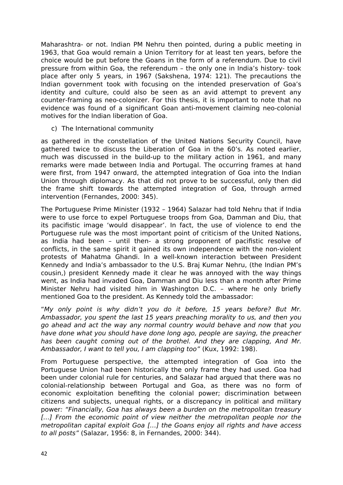Maharashtra- or not. Indian PM Nehru then pointed, during a public meeting in 1963, that Goa would remain a Union Territory for at least ten years, before the choice would be put before the Goans in the form of a referendum. Due to civil pressure from within Goa, the referendum – the only one in India's history- took place after only 5 years, in 1967 (Sakshena, 1974: 121). The precautions the Indian government took with focusing on the intended preservation of Goa's identity and culture, could also be seen as an avid attempt to prevent any counter-framing as neo-colonizer. For this thesis, it is important to note that no evidence was found of a significant Goan anti-movement claiming neo-colonial motives for the Indian liberation of Goa.

c) The International community

as gathered in the constellation of the United Nations Security Council, have gathered twice to discuss the Liberation of Goa in the 60's. As noted earlier, much was discussed in the build-up to the military action in 1961, and many remarks were made between India and Portugal. The occurring frames at hand were first, from 1947 onward, the attempted integration of Goa into the Indian Union through diplomacy. As that did not prove to be successful, only then did the frame shift towards the attempted integration of Goa, through armed intervention (Fernandes, 2000: 345).

The Portuguese Prime Minister (1932 – 1964) Salazar had told Nehru that if India were to use force to expel Portuguese troops from Goa, Damman and Diu, that its pacifistic image 'would disappear'. In fact, the use of violence to end the Portuguese rule was the most important point of criticism of the United Nations, as India had been – until then- a strong proponent of pacifistic resolve of conflicts, in the same spirit it gained its own independence with the non-violent protests of Mahatma Ghandi. In a well-known interaction between President Kennedy and India's ambassador to the U.S. Braj Kumar Nehru, (the Indian PM's cousin,) president Kennedy made it clear he was annoyed with the way things went, as India had invaded Goa, Damman and Diu less than a month after Prime Minister Nehru had visited him in Washington D.C. – where he only briefly mentioned Goa to the president. As Kennedy told the ambassador:

"My only point is why didn't you do it before, 15 years before? But Mr. Ambassador, you spent the last 15 years preaching morality to us, and then you go ahead and act the way any normal country would behave and now that you have done what you should have done long ago, people are saying, the preacher has been caught coming out of the brothel. And they are clapping, And Mr. Ambassador, I want to tell you, I am clapping too" (Kux, 1992: 198).

From Portuguese perspective, the attempted integration of Goa into the Portuguese Union had been historically the only frame they had used. Goa had been under colonial rule for centuries, and Salazar had argued that there was no colonial-relationship between Portugal and Goa, as there was no form of economic exploitation benefiting the colonial power; discrimination between citizens and subjects, unequal rights, or a discrepancy in political and military power: "Financially, Goa has always been a burden on the metropolitan treasury [...] From the economic point of view neither the metropolitan people nor the metropolitan capital exploit Goa […] the Goans enjoy all rights and have access to all posts" (Salazar, 1956: 8, in Fernandes, 2000: 344).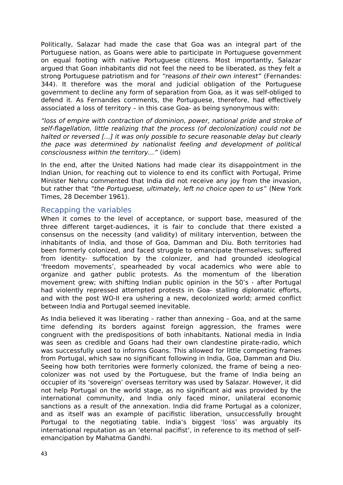Politically, Salazar had made the case that Goa was an integral part of the Portuguese nation, as Goans were able to participate in Portuguese government on equal footing with native Portuguese citizens. Most importantly, Salazar argued that Goan inhabitants did not feel the need to be liberated, as they felt a strong Portuguese patriotism and for "reasons of their own interest" (Fernandes: 344). It therefore was the moral and judicial obligation of the Portuguese government to decline any form of separation from Goa, as it was self-obliged to defend it. As Fernandes comments, the Portuguese, therefore, had effectively associated a loss of territory – in this case Goa- as being synonymous with:

"loss of empire with contraction of dominion, power, national pride and stroke of self-flagellation, little realizing that the process (of decolonization) could not be halted or reversed [...] it was only possible to secure reasonable delay but clearly the pace was determined by nationalist feeling and development of political consciousness within the territory…" (idem)

In the end, after the United Nations had made clear its disappointment in the Indian Union, for reaching out to violence to end its conflict with Portugal, Prime Minister Nehru commented that India did not receive any joy from the invasion, but rather that "the Portuguese, ultimately, left no choice open to us" (New York Times, 28 December 1961).

#### <span id="page-43-0"></span>Recapping the variables

When it comes to the level of acceptance, or support base, measured of the three different target-audiences, it is fair to conclude that there existed a consensus on the necessity (and validity) of military intervention, between the inhabitants of India, and those of Goa, Damman and Diu. Both territories had been formerly colonized, and faced struggle to emancipate themselves; suffered from identity- suffocation by the colonizer, and had grounded ideological 'freedom movements', spearheaded by vocal academics who were able to organize and gather public protests. As the momentum of the liberation movement grew; with shifting Indian public opinion in the 50's - after Portugal had violently repressed attempted protests in Goa- stalling diplomatic efforts, and with the post WO-II era ushering a new, decolonized world; armed conflict between India and Portugal seemed inevitable.

As India believed it was liberating – rather than annexing – Goa, and at the same time defending its borders against foreign aggression, the frames were congruent with the predispositions of both inhabitants. National media in India was seen as credible and Goans had their own clandestine pirate-radio, which was successfully used to informs Goans. This allowed for little competing frames from Portugal, which saw no significant following in India, Goa, Damman and Diu. Seeing how both territories were formerly colonized, the frame of being a neocolonizer was not used by the Portuguese, but the frame of India being an occupier of its 'sovereign' overseas territory was used by Salazar. However, it did not help Portugal on the world stage, as no significant aid was provided by the international community, and India only faced minor, unilateral economic sanctions as a result of the annexation. India did frame Portugal as a colonizer, and as itself was an example of pacifistic liberation, unsuccessfully brought Portugal to the negotiating table. India's biggest 'loss' was arguably its international reputation as an 'eternal pacifist', in reference to its method of selfemancipation by Mahatma Gandhi.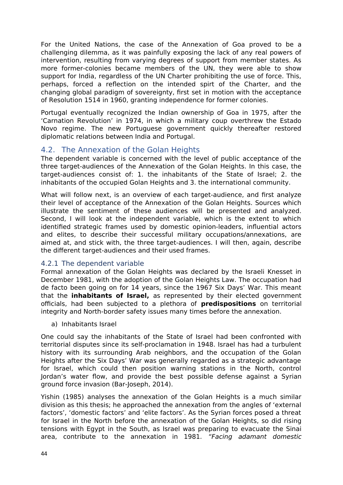For the United Nations, the case of the Annexation of Goa proved to be a challenging dilemma, as it was painfully exposing the lack of any real powers of intervention, resulting from varying degrees of support from member states. As more former-colonies became members of the UN, they were able to show support for India, regardless of the UN Charter prohibiting the use of force. This, perhaps, forced a reflection on the intended spirt of the Charter, and the changing global paradigm of sovereignty, first set in motion with the acceptance of Resolution 1514 in 1960, granting independence for former colonies.

Portugal eventually recognized the Indian ownership of Goa in 1975, after the 'Carnation Revolution' in 1974, in which a military coup overthrew the Estado Novo regime. The new Portuguese government quickly thereafter restored diplomatic relations between India and Portugal.

#### <span id="page-44-0"></span>4.2. The Annexation of the Golan Heights

The dependent variable is concerned with the level of public acceptance of the three target-audiences of the Annexation of the Golan Heights. In this case, the target-audiences consist of: 1. the inhabitants of the State of Israel; 2. the inhabitants of the occupied Golan Heights and 3. the international community.

What will follow next, is an overview of each target-audience, and first analyze their level of acceptance of the Annexation of the Golan Heights. Sources which illustrate the sentiment of these audiences will be presented and analyzed. Second, I will look at the independent variable, which is the extent to which identified strategic frames used by domestic opinion-leaders, influential actors and elites, to describe their successful military occupations/annexations, are aimed at, and stick with, the three target-audiences. I will then, again, describe the different target-audiences and their used frames.

#### <span id="page-44-1"></span>4.2.1 The dependent variable

Formal annexation of the Golan Heights was declared by the Israeli Knesset in December 1981, with the adoption of the Golan Heights Law. The occupation had de facto been going on for 14 years, since the 1967 Six Days' War. This meant that the **inhabitants of Israel,** as represented by their elected government officials, had been subjected to a plethora of **predispositions** on territorial integrity and North-border safety issues many times before the annexation.

a) Inhabitants Israel

One could say the inhabitants of the State of Israel had been confronted with territorial disputes since its self-proclamation in 1948. Israel has had a turbulent history with its surrounding Arab neighbors, and the occupation of the Golan Heights after the Six Days' War was generally regarded as a strategic advantage for Israel, which could then position warning stations in the North, control Jordan's water flow, and provide the best possible defense against a Syrian ground force invasion (Bar-Joseph, 2014).

Yishin (1985) analyses the annexation of the Golan Heights is a much similar division as this thesis; he approached the annexation from the angles of 'external factors', 'domestic factors' and 'elite factors'. As the Syrian forces posed a threat for Israel in the North before the annexation of the Golan Heights, so did rising tensions with Egypt in the South, as Israel was preparing to evacuate the Sinai area, contribute to the annexation in 1981. "Facing adamant domestic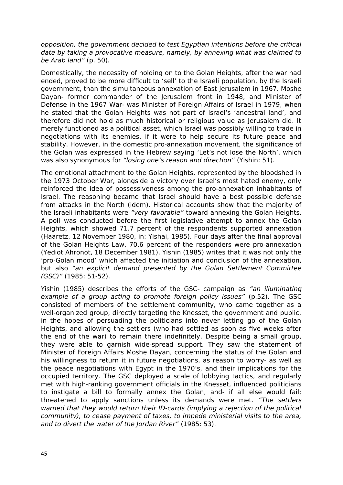opposition, the government decided to test Egyptian intentions before the critical date by taking a provocative measure, namely, by annexing what was claimed to be Arab land" (p. 50).

Domestically, the necessity of holding on to the Golan Heights, after the war had ended, proved to be more difficult to 'sell' to the Israeli population, by the Israeli government, than the simultaneous annexation of East Jerusalem in 1967. Moshe Dayan- former commander of the Jerusalem front in 1948, and Minister of Defense in the 1967 War- was Minister of Foreign Affairs of Israel in 1979, when he stated that the Golan Heights was not part of Israel's 'ancestral land', and therefore did not hold as much historical or religious value as Jerusalem did. It merely functioned as a political asset, which Israel was possibly willing to trade in negotiations with its enemies, if it were to help secure its future peace and stability. However, in the domestic pro-annexation movement, the significance of the Golan was expressed in the Hebrew saying 'Let's not lose the North', which was also synonymous for "losing one's reason and direction" (Yishin: 51).

The emotional attachment to the Golan Heights, represented by the bloodshed in the 1973 October War, alongside a victory over Israel's most hated enemy, only reinforced the idea of possessiveness among the pro-annexation inhabitants of Israel. The reasoning became that Israel should have a best possible defense from attacks in the North (idem). Historical accounts show that the majority of the Israeli inhabitants were "very favorable" toward annexing the Golan Heights. A poll was conducted before the first legislative attempt to annex the Golan Heights, which showed 71.7 percent of the respondents supported annexation (Haaretz, 12 November 1980, in: Yishai, 1985). Four days after the final approval of the Golan Heights Law, 70.6 percent of the responders were pro-annexation (Yediot Ahronot, 18 December 1981). Yishin (1985) writes that it was not only the 'pro-Golan mood' which affected the initiation and conclusion of the annexation, but also "an explicit demand presented by the Golan Settlement Committee (GSC)" (1985: 51-52).

Yishin (1985) describes the efforts of the GSC- campaign as "an illuminating example of a group acting to promote foreign policy issues" (p.52). The GSC consisted of members of the settlement community, who came together as a well-organized group, directly targeting the Knesset, the government and public, in the hopes of persuading the politicians into never letting go of the Golan Heights, and allowing the settlers (who had settled as soon as five weeks after the end of the war) to remain there indefinitely. Despite being a small group, they were able to garnish wide-spread support. They saw the statement of Minister of Foreign Affairs Moshe Dayan, concerning the status of the Golan and his willingness to return it in future negotiations, as reason to worry- as well as the peace negotiations with Egypt in the 1970's, and their implications for the occupied territory. The GSC deployed a scale of lobbying tactics, and regularly met with high-ranking government officials in the Knesset, influenced politicians to instigate a bill to formally annex the Golan, and- if all else would fail; threatened to apply sanctions unless its demands were met. "The settlers warned that they would return their ID-cards (implying a rejection of the political community), to cease payment of taxes, to impede ministerial visits to the area, and to divert the water of the Jordan River" (1985: 53).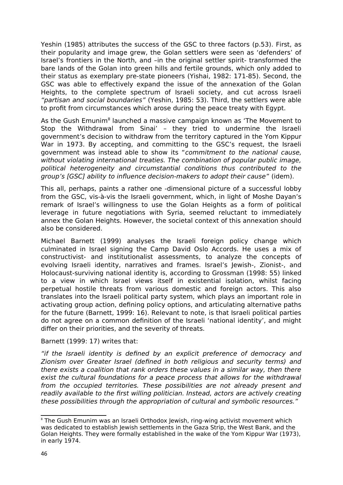Yeshin (1985) attributes the success of the GSC to three factors (p.53). First, as their popularity and image grew, the Golan settlers were seen as 'defenders' of Israel's frontiers in the North, and –in the original settler spirit- transformed the bare lands of the Golan into green hills and fertile grounds, which only added to their status as exemplary pre-state pioneers (Yishai, 1982: 171-85). Second, the GSC was able to effectively expand the issue of the annexation of the Golan Heights, to the complete spectrum of Israeli society, and cut across Israeli "partisan and social boundaries" (Yeshin, 1985: 53). Third, the settlers were able to profit from circumstances which arose during the peace treaty with Egypt.

As the Gush Emunim<sup>[8](#page-46-0)</sup> launched a massive campaign known as 'The Movement to Stop the Withdrawal from Sinai' – they tried to undermine the Israeli government's decision to withdraw from the territory captured in the Yom Kippur War in 1973. By accepting, and committing to the GSC's request, the Israeli government was instead able to show its "commitment to the national cause, without violating international treaties. The combination of popular public image, political heterogeneity and circumstantial conditions thus contributed to the group's [GSC] ability to influence decision-makers to adopt their cause" (idem).

This all, perhaps, paints a rather one -dimensional picture of a successful lobby from the GSC, vis-à-vis the Israeli government, which, in light of Moshe Dayan's remark of Israel's willingness to use the Golan Heights as a form of political leverage in future negotiations with Syria, seemed reluctant to immediately annex the Golan Heights. However, the societal context of this annexation should also be considered.

Michael Barnett (1999) analyses the Israeli foreign policy change which culminated in Israel signing the Camp David Oslo Accords. He uses a mix of constructivist- and institutionalist assessments, to analyze the concepts of evolving Israeli identity, narratives and frames. Israel's Jewish-, Zionist-, and Holocaust-surviving national identity is, according to Grossman (1998: 55) linked to a view in which Israel views itself in existential isolation, whilst facing perpetual hostile threats from various domestic and foreign actors. This also translates into the Israeli political party system, which plays an important role in activating group action, defining policy options, and articulating alternative paths for the future (Barnett, 1999: 16). Relevant to note, is that Israeli political parties do not agree on a common definition of the Israeli 'national identity', and might differ on their priorities, and the severity of threats.

#### Barnett (1999: 17) writes that:

"if the Israeli identity is defined by an explicit preference of democracy and Zionism over Greater Israel (defined in both religious and security terms) and there exists a coalition that rank orders these values in a similar way, then there exist the cultural foundations for a peace process that allows for the withdrawal from the occupied territories. These possibilities are not already present and readily available to the first willing politician. Instead, actors are actively creating these possibilities through the appropriation of cultural and symbolic resources."

<span id="page-46-0"></span><sup>&</sup>lt;sup>8</sup> The Gush Emunim was an Israeli Orthodox Jewish, ring-wing activist movement which was dedicated to establish Jewish settlements in the Gaza Strip, the West Bank, and the Golan Heights. They were formally established in the wake of the Yom Kippur War (1973), in early 1974.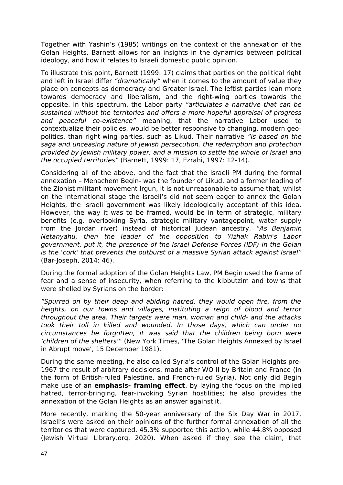Together with Yashin's (1985) writings on the context of the annexation of the Golan Heights, Barnett allows for an insights in the dynamics between political ideology, and how it relates to Israeli domestic public opinion.

To illustrate this point, Barnett (1999: 17) claims that parties on the political right and left in Israel differ "dramatically" when it comes to the amount of value they place on concepts as democracy and Greater Israel. The leftist parties lean more towards democracy and liberalism, and the right-wing parties towards the opposite. In this spectrum, the Labor party "articulates a narrative that can be sustained without the territories and offers a more hopeful appraisal of progress and peaceful co-existence" meaning, that the narrative Labor used to contextualize their policies, would be better responsive to changing, modern geopolitics, than right-wing parties, such as Likud. Their narrative "is based on the saga and unceasing nature of Jewish persecution, the redemption and protection provided by Jewish military power, and a mission to settle the whole of Israel and the occupied territories" (Barnett, 1999: 17, Ezrahi, 1997: 12-14).

Considering all of the above, and the fact that the Israeli PM during the formal annexation – Menachem Begin- was the founder of Likud, and a former leading of the Zionist militant movement Irgun, it is not unreasonable to assume that, whilst on the international stage the Israeli's did not seem eager to annex the Golan Heights, the Israeli government was likely ideologically acceptant of this idea. However, the way it was to be framed, would be in term of strategic, military benefits (e.g. overlooking Syria, strategic military vantagepoint, water supply from the Jordan river) instead of historical Judean ancestry. "As Benjamin Netanyahu, then the leader of the opposition to Yizhak Rabin's Labor government, put it, the presence of the Israel Defense Forces (IDF) in the Golan is the 'cork' that prevents the outburst of a massive Syrian attack against Israel" (Bar-Joseph, 2014: 46).

During the formal adoption of the Golan Heights Law, PM Begin used the frame of fear and a sense of insecurity, when referring to the kibbutzim and towns that were shelled by Syrians on the border:

"Spurred on by their deep and abiding hatred, they would open fire, from the heights, on our towns and villages, instituting a reign of blood and terror throughout the area. Their targets were man, woman and child- and the attacks took their toll in killed and wounded. In those days, which can under no circumstances be forgotten, it was said that the children being born were 'children of the shelters'" (New York Times, 'The Golan Heights Annexed by Israel in Abrupt move', 15 December 1981).

During the same meeting, he also called Syria's control of the Golan Heights pre-1967 the result of arbitrary decisions, made after WO II by Britain and France (in the form of British-ruled Palestine, and French-ruled Syria). Not only did Begin make use of an **emphasis- framing effect**, by laying the focus on the implied hatred, terror-bringing, fear-invoking Syrian hostilities; he also provides the annexation of the Golan Heights as an answer against it.

More recently, marking the 50-year anniversary of the Six Day War in 2017, Israeli's were asked on their opinions of the further formal annexation of all the territories that were captured. 45.3% supported this action, while 44.8% opposed (Jewish Virtual Library.org, 2020). When asked if they see the claim, that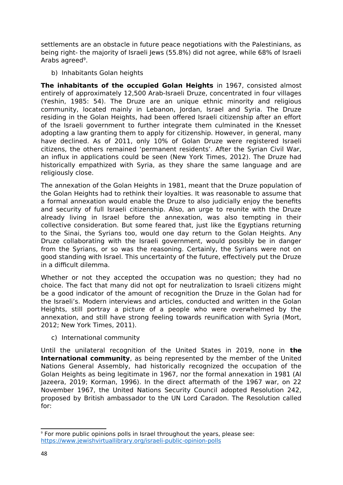settlements are an obstacle in future peace negotiations with the Palestinians, as being right- the majority of Israeli Jews (55.8%) did not agree, while 68% of Israeli Arabs agreed<sup>[9](#page-48-0)</sup>.

b) Inhabitants Golan heights

**The inhabitants of the occupied Golan Heights** in 1967, consisted almost entirely of approximately 12,500 Arab-Israeli Druze, concentrated in four villages (Yeshin, 1985: 54). The Druze are an unique ethnic minority and religious community, located mainly in Lebanon, Jordan, Israel and Syria. The Druze residing in the Golan Heights, had been offered Israeli citizenship after an effort of the Israeli government to further integrate them culminated in the Knesset adopting a law granting them to apply for citizenship. However, in general, many have declined. As of 2011, only 10% of Golan Druze were registered Israeli citizens, the others remained 'permanent residents'. After the Syrian Civil War, an influx in applications could be seen (New York Times, 2012). The Druze had historically empathized with Syria, as they share the same language and are religiously close.

The annexation of the Golan Heights in 1981, meant that the Druze population of the Golan Heights had to rethink their loyalties. It was reasonable to assume that a formal annexation would enable the Druze to also judicially enjoy the benefits and security of full Israeli citizenship. Also, an urge to reunite with the Druze already living in Israel before the annexation, was also tempting in their collective consideration. But some feared that, just like the Egyptians returning to the Sinai, the Syrians too, would one day return to the Golan Heights. Any Druze collaborating with the Israeli government, would possibly be in danger from the Syrians, or so was the reasoning. Certainly, the Syrians were not on good standing with Israel. This uncertainty of the future, effectively put the Druze in a difficult dilemma.

Whether or not they accepted the occupation was no question; they had no choice. The fact that many did not opt for neutralization to Israeli citizens might be a good indicator of the amount of recognition the Druze in the Golan had for the Israeli's. Modern interviews and articles, conducted and written in the Golan Heights, still portray a picture of a people who were overwhelmed by the annexation, and still have strong feeling towards reunification with Syria (Mort, 2012; New York Times, 2011).

c) International community

Until the unilateral recognition of the United States in 2019, none in **the International community**, as being represented by the member of the United Nations General Assembly, had historically recognized the occupation of the Golan Heights as being legitimate in 1967, nor the formal annexation in 1981 (Al Jazeera, 2019; Korman, 1996). In the direct aftermath of the 1967 war, on 22 November 1967, the United Nations Security Council adopted Resolution 242, proposed by British ambassador to the UN Lord Caradon. The Resolution called for:

<span id="page-48-0"></span><sup>9</sup> For more public opinions polls in Israel throughout the years, please see: <https://www.jewishvirtuallibrary.org/israeli-public-opinion-polls>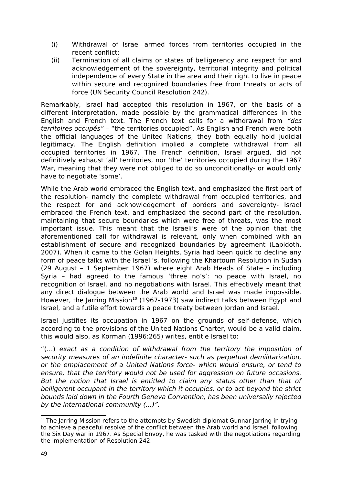- (i) Withdrawal of Israel armed forces from territories occupied in the recent conflict;
- (ii) Termination of all claims or states of belligerency and respect for and acknowledgement of the sovereignty, territorial integrity and political independence of every State in the area and their right to live in peace within secure and recognized boundaries free from threats or acts of force (UN Security Council Resolution 242).

Remarkably, Israel had accepted this resolution in 1967, on the basis of a different interpretation, made possible by the grammatical differences in the English and French text. The French text calls for a withdrawal from "des territoires occupés" – "the territories occupied". As English and French were both the official languages of the United Nations, they both equally hold judicial legitimacy. The English definition implied a complete withdrawal from all occupied territories in 1967. The French definition, Israel argued, did not definitively exhaust 'all' territories, nor 'the' territories occupied during the 1967 War, meaning that they were not obliged to do so unconditionally- or would only have to negotiate 'some'.

While the Arab world embraced the English text, and emphasized the first part of the resolution- namely the complete withdrawal from occupied territories, and the respect for and acknowledgement of borders and sovereignty- Israel embraced the French text, and emphasized the second part of the resolution, maintaining that secure boundaries which were free of threats, was the most important issue. This meant that the Israeli's were of the opinion that the aforementioned call for withdrawal is relevant, only when combined with an establishment of secure and recognized boundaries by agreement (Lapidoth, 2007). When it came to the Golan Heights, Syria had been quick to decline any form of peace talks with the Israeli's, following the Khartoum Resolution in Sudan (29 August – 1 September 1967) where eight Arab Heads of State – including Syria – had agreed to the famous 'three no's': no peace with Israel, no recognition of Israel, and no negotiations with Israel. This effectively meant that any direct dialogue between the Arab world and Israel was made impossible. However, the Jarring Mission<sup>[10](#page-49-0)</sup> (1967-1973) saw indirect talks between Egypt and Israel, and a futile effort towards a peace treaty between Jordan and Israel.

Israel justifies its occupation in 1967 on the grounds of self-defense, which according to the provisions of the United Nations Charter, would be a valid claim, this would also, as Korman (1996:265) writes, entitle Israel to:

"(…) exact as a condition of withdrawal from the territory the imposition of security measures of an indefinite character- such as perpetual demilitarization, or the emplacement of a United Nations force- which would ensure, or tend to ensure, that the territory would not be used for aggression on future occasions. But the notion that Israel is entitled to claim any status other than that of belligerent occupant in the territory which it occupies, or to act beyond the strict bounds laid down in the Fourth Geneva Convention, has been universally rejected by the international community (…)".

<span id="page-49-0"></span><sup>&</sup>lt;sup>10</sup> The Jarring Mission refers to the attempts by Swedish diplomat Gunnar Jarring in trying to achieve a peaceful resolve of the conflict between the Arab world and Israel, following the Six Day war in 1967. As Special Envoy, he was tasked with the negotiations regarding the implementation of Resolution 242.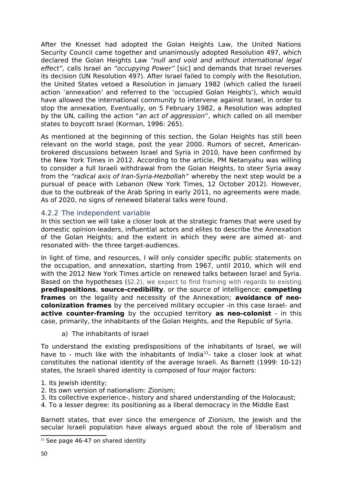After the Knesset had adopted the Golan Heights Law, the United Nations Security Council came together and unanimously adopted Resolution 497, which declared the Golan Heights Law "null and void and without international legal effect", calls Israel an "occupying Power" [sic] and demands that Israel reverses its decision (UN Resolution 497). After Israel failed to comply with the Resolution, the United States vetoed a Resolution in January 1982 (which called the Israeli action 'annexation' and referred to the 'occupied Golan Heights'), which would have allowed the international community to intervene against Israel, in order to stop the annexation. Eventually, on 5 February 1982, a Resolution was adopted by the UN, calling the action "an act of aggression", which called on all member states to boycott Israel (Korman, 1996: 265).

As mentioned at the beginning of this section, the Golan Heights has still been relevant on the world stage, post the year 2000. Rumors of secret, Americanbrokered discussions between Israel and Syria in 2010, have been confirmed by the New York Times in 2012. According to the article, PM Netanyahu was willing to consider a full Israeli withdrawal from the Golan Heights, to steer Syria away from the "radical axis of Iran-Syria-Hezbollah" whereby the next step would be a pursual of peace with Lebanon (New York Times, 12 October 2012). However, due to the outbreak of the Arab Spring in early 2011, no agreements were made. As of 2020, no signs of renewed bilateral talks were found.

#### <span id="page-50-0"></span>4.2.2 The independent variable

In this section we will take a closer look at the strategic frames that were used by domestic opinion-leaders, influential actors and elites to describe the Annexation of the Golan Heights; and the extent in which they were are aimed at- and resonated with- the three target-audiences.

In light of time, and resources, I will only consider specific public statements on the occupation, and annexation, starting from 1967, until 2010, which will end with the 2012 New York Times article on renewed talks between Israel and Syria. Based on the hypotheses ( $\S2.2$ ), we expect to find framing with regards to existing **predispositions**, **source-credibility**, or the source of intelligence; **competing frames** on the legality and necessity of the Annexation; **avoidance of neocolonization frames** by the perceived military occupier -in this case Israel- and **active counter-framing** by the occupied territory **as neo-colonist** - in this case, primarily, the inhabitants of the Golan Heights, and the Republic of Syria.

a) The inhabitants of Israel

To understand the existing predispositions of the inhabitants of Israel, we will have to - much like with the inhabitants of India $^{11}$  $^{11}$  $^{11}$ - take a closer look at what constitutes the national identity of the average Israeli. As Barnett (1999: 10-12) states, the Israeli shared identity is composed of four major factors:

- 1. Its Jewish identity;
- 2. Its own version of nationalism: Zionism;
- 3. Its collective experience-, history and shared understanding of the Holocaust;
- 4. To a lesser degree: its positioning as a liberal democracy in the Middle East

Barnett states, that ever since the emergence of Zionism, the Jewish and the secular Israeli population have always argued about the role of liberalism and

<span id="page-50-1"></span> $11$  See page 46-47 on shared identity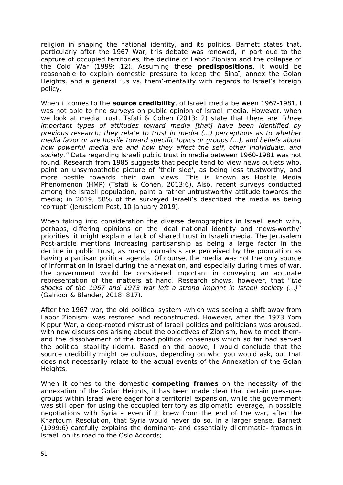religion in shaping the national identity, and its politics. Barnett states that, particularly after the 1967 War, this debate was renewed, in part due to the capture of occupied territories, the decline of Labor Zionism and the collapse of the Cold War (1999: 12). Assuming these **predispositions**, it would be reasonable to explain domestic pressure to keep the Sinaï, annex the Golan Heights, and a general 'us vs. them'-mentality with regards to Israel's foreign policy.

When it comes to the **source credibility**, of Israeli media between 1967-1981, I was not able to find surveys on public opinion of Israeli media. However, when we look at media trust, Tsfati & Cohen (2013: 2) state that there are "three important types of attitudes toward media [that] have been identified by previous research; they relate to trust in media (…) perceptions as to whether media favor or are hostile toward specific topics or groups (…), and beliefs about how powerful media are and how they affect the self, other individuals, and society." Data regarding Israeli public trust in media between 1960-1981 was not found. Research from 1985 suggests that people tend to view news outlets who, paint an unsympathetic picture of 'their side', as being less trustworthy, and more hostile towards their own views. This is known as Hostile Media Phenomenon (HMP) (Tsfati & Cohen, 2013:6). Also, recent surveys conducted among the Israeli population, paint a rather untrustworthy attitude towards the media; in 2019, 58% of the surveyed Israeli's described the media as being 'corrupt' (Jerusalem Post, 10 January 2019).

When taking into consideration the diverse demographics in Israel, each with, perhaps, differing opinions on the ideal national identity and 'news-worthy' priorities, it might explain a lack of shared trust in Israeli media. The Jerusalem Post-article mentions increasing partisanship as being a large factor in the decline in public trust, as many journalists are perceived by the population as having a partisan political agenda. Of course, the media was not the only source of information in Israel during the annexation, and especially during times of war, the government would be considered important in conveying an accurate representation of the matters at hand. Research shows, however, that "the shocks of the 1967 and 1973 war left a strong imprint in Israeli society (…)" (Galnoor & Blander, 2018: 817).

After the 1967 war, the old political system -which was seeing a shift away from Labor Zionism- was restored and reconstructed. However, after the 1973 Yom Kippur War, a deep-rooted mistrust of Israeli politics and politicians was aroused, with new discussions arising about the objectives of Zionism, how to meet themand the dissolvement of the broad political consensus which so far had served the political stability (idem). Based on the above, I would conclude that the source credibility might be dubious, depending on who you would ask, but that does not necessarily relate to the actual events of the Annexation of the Golan Heights.

When it comes to the domestic **competing frames** on the necessity of the annexation of the Golan Heights, it has been made clear that certain pressuregroups within Israel were eager for a territorial expansion, while the government was still open for using the occupied territory as diplomatic leverage, in possible negotiations with Syria – even if it knew from the end of the war, after the Khartoum Resolution, that Syria would never do so. In a larger sense, Barnett (1999:6) carefully explains the dominant- and essentially dilemmatic- frames in Israel, on its road to the Oslo Accords;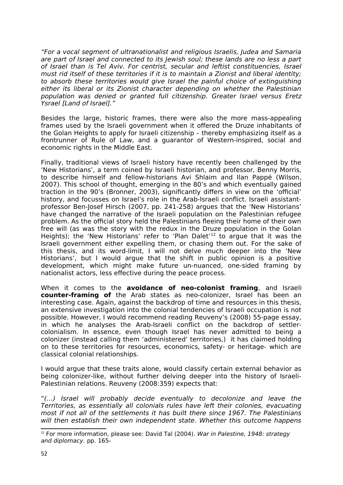"For a vocal segment of ultranationalist and religious Israelis, Judea and Samaria are part of Israel and connected to its Jewish soul; these lands are no less a part of Israel than is Tel Aviv. For centrist, secular and leftist constituencies, Israel must rid itself of these territories if it is to maintain a Zionist and liberal identity; to absorb these territories would give Israel the painful choice of extinguishing either its liberal or its Zionist character depending on whether the Palestinian population was denied or granted full citizenship. Greater Israel versus Eretz Ysrael [Land of Israel]."

Besides the large, historic frames, there were also the more mass-appealing frames used by the Israeli government when it offered the Druze inhabitants of the Golan Heights to apply for Israeli citizenship – thereby emphasizing itself as a frontrunner of Rule of Law, and a guarantor of Western-inspired, social and economic rights in the Middle East.

Finally, traditional views of Israeli history have recently been challenged by the 'New Historians', a term coined by Israeli historian, and professor, Benny Morris, to describe himself and fellow-historians Avi Shlaim and Ilan Pappé (Wilson, 2007). This school of thought, emerging in the 80's and which eventually gained traction in the 90's (Bronner, 2003), significantly differs in view on the 'official' history, and focusses on Israel's role in the Arab-Israeli conflict. Israeli assistantprofessor Ben-Josef Hirsch (2007, pp. 241-258) argues that the 'New Historians' have changed the narrative of the Israeli population on the Palestinian refugee problem. As the official story held the Palestinians fleeing their home of their own free will (as was the story with the redux in the Druze population in the Golan Heights); the 'New Historians' refer to 'Plan Dalet'<sup>[12](#page-52-0)</sup> to argue that it was the Israeli government either expelling them, or chasing them out. For the sake of this thesis, and its word-limit, I will not delve much deeper into the 'New Historians', but I would argue that the shift in public opinion is a positive development, which might make future un-nuanced, one-sided framing by nationalist actors, less effective during the peace process.

When it comes to the **avoidance of neo-colonist framing**, and Israeli **counter-framing of** the Arab states as neo-colonizer, Israel has been an interesting case. Again, against the backdrop of time and resources in this thesis, an extensive investigation into the colonial tendencies of Israeli occupation is not possible. However, I would recommend reading Reuveny's (2008) 55-page essay, in which he analyses the Arab-Israeli conflict on the backdrop of settlercolonialism. In essence, even though Israel has never admitted to being a colonizer (instead calling them 'administered' territories,) it has claimed holding on to these territories for resources, economics, safety- or heritage- which are classical colonial relationships.

I would argue that these traits alone, would classify certain external behavior as being colonizer-like, without further delving deeper into the history of Israeli-Palestinian relations. Reuveny (2008:359) expects that:

"(…) Israel will probably decide eventually to decolonize and leave the Territories, as essentially all colonials rules have left their colonies, evacuating most if not all of the settlements it has built there since 1967. The Palestinians will then establish their own independent state. Whether this outcome happens

<span id="page-52-0"></span><sup>&</sup>lt;sup>12</sup> For more information, please see: David Tal (2004). War in Palestine, 1948: strategy and diplomacy. pp. 165-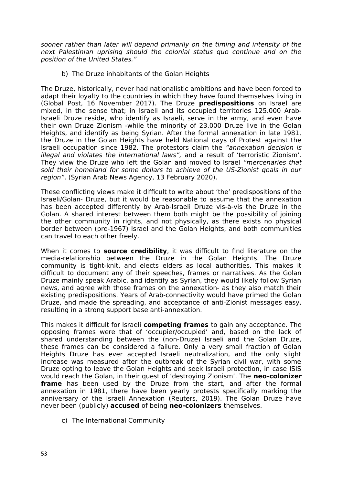sooner rather than later will depend primarily on the timing and intensity of the next Palestinian uprising should the colonial status quo continue and on the position of the United States."

b) The Druze inhabitants of the Golan Heights

The Druze, historically, never had nationalistic ambitions and have been forced to adapt their loyalty to the countries in which they have found themselves living in (Global Post, 16 November 2017). The Druze **predispositions** on Israel are mixed, in the sense that; in Israeli and its occupied territories 125.000 Arab-Israeli Druze reside, who identify as Israeli, serve in the army, and even have their own Druze Zionism -while the minority of 23.000 Druze live in the Golan Heights, and identify as being Syrian. After the formal annexation in late 1981, the Druze in the Golan Heights have held National days of Protest against the Israeli occupation since 1982. The protestors claim the "annexation decision is illegal and violates the international laws", and a result of 'terroristic Zionism'. They view the Druze who left the Golan and moved to Israel "mercenaries that sold their homeland for some dollars to achieve of the US-Zionist goals in our region". (Syrian Arab News Agency, 13 February 2020).

These conflicting views make it difficult to write about 'the' predispositions of the Israeli/Golan- Druze, but it would be reasonable to assume that the annexation has been accepted differently by Arab-Israeli Druze vis-à-vis the Druze in the Golan. A shared interest between them both might be the possibility of joining the other community in rights, and not physically, as there exists no physical border between (pre-1967) Israel and the Golan Heights, and both communities can travel to each other freely.

When it comes to **source credibility**, it was difficult to find literature on the media-relationship between the Druze in the Golan Heights. The Druze community is tight-knit, and elects elders as local authorities. This makes it difficult to document any of their speeches, frames or narratives. As the Golan Druze mainly speak Arabic, and identify as Syrian, they would likely follow Syrian news, and agree with those frames on the annexation- as they also match their existing predispositions. Years of Arab-connectivity would have primed the Golan Druze, and made the spreading, and acceptance of anti-Zionist messages easy, resulting in a strong support base anti-annexation.

This makes it difficult for Israeli **competing frames** to gain any acceptance. The opposing frames were that of 'occupier/occupied' and, based on the lack of shared understanding between the (non-Druze) Israeli and the Golan Druze, these frames can be considered a failure. Only a very small fraction of Golan Heights Druze has ever accepted Israeli neutralization, and the only slight increase was measured after the outbreak of the Syrian civil war, with some Druze opting to leave the Golan Heights and seek Israeli protection, in case ISIS would reach the Golan, in their quest of 'destroying Zionism'. The **neo-colonizer frame** has been used by the Druze from the start, and after the formal annexation in 1981, there have been yearly protests specifically marking the anniversary of the Israeli Annexation (Reuters, 2019). The Golan Druze have never been (publicly) **accused** of being **neo-colonizers** themselves.

c) The International Community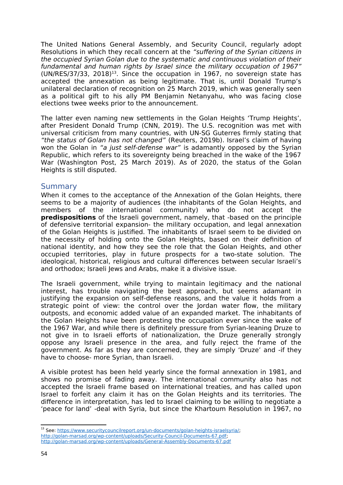The United Nations General Assembly, and Security Council, regularly adopt Resolutions in which they recall concern at the "suffering of the Syrian citizens in the occupied Syrian Golan due to the systematic and continuous violation of their fundamental and human rights by Israel since the military occupation of 1967"  $(UN/RES/37/33, 2018)^{13}$  $(UN/RES/37/33, 2018)^{13}$  $(UN/RES/37/33, 2018)^{13}$ . Since the occupation in 1967, no sovereign state has accepted the annexation as being legitimate. That is, until Donald Trump's unilateral declaration of recognition on 25 March 2019, which was generally seen as a political gift to his ally PM Benjamin Netanyahu, who was facing close elections twee weeks prior to the announcement.

The latter even naming new settlements in the Golan Heights 'Trump Heights', after President Donald Trump (CNN, 2019). The U.S. recognition was met with universal criticism from many countries, with UN-SG Guterres firmly stating that "the status of Golan has not changed" (Reuters, 2019b). Israel's claim of having won the Golan in "a just self-defense war" is adamantly opposed by the Syrian Republic, which refers to its sovereignty being breached in the wake of the 1967 War (Washington Post, 25 March 2019). As of 2020, the status of the Golan Heights is still disputed.

#### <span id="page-54-0"></span>**Summary**

When it comes to the acceptance of the Annexation of the Golan Heights, there seems to be a majority of audiences (the inhabitants of the Golan Heights, and members of the international community) who do not accept the **predispositions** of the Israeli government, namely, that -based on the principle of defensive territorial expansion- the military occupation, and legal annexation of the Golan Heights is justified. The inhabitants of Israel seem to be divided on the necessity of holding onto the Golan Heights, based on their definition of national identity, and how they see the role that the Golan Heights, and other occupied territories, play in future prospects for a two-state solution. The ideological, historical, religious and cultural differences between secular Israeli's and orthodox; Israeli Jews and Arabs, make it a divisive issue.

The Israeli government, while trying to maintain legitimacy and the national interest, has trouble navigating the best approach, but seems adamant in justifying the expansion on self-defense reasons, and the value it holds from a strategic point of view: the control over the Jordan water flow, the military outposts, and economic added value of an expanded market. The inhabitants of the Golan Heights have been protesting the occupation ever since the wake of the 1967 War, and while there is definitely pressure from Syrian-leaning Druze to not give in to Israeli efforts of nationalization, the Druze generally strongly oppose any Israeli presence in the area, and fully reject the frame of the government. As far as they are concerned, they are simply 'Druze' and -if they have to choose- more Syrian, than Israeli.

A visible protest has been held yearly since the formal annexation in 1981, and shows no promise of fading away. The international community also has not accepted the Israeli frame based on international treaties, and has called upon Israel to forfeit any claim it has on the Golan Heights and its territories. The difference in interpretation, has led to Israel claiming to be willing to negotiate a 'peace for land' -deal with Syria, but since the Khartoum Resolution in 1967, no

<span id="page-54-1"></span><sup>&</sup>lt;sup>13</sup> See:<https://www.securitycouncilreport.org/un-documents/golan-heights-israelsyria/>; <http://golan-marsad.org/wp-content/uploads/Security-Council-Documents-67.pdf>; <http://golan-marsad.org/wp-content/uploads/General-Assembly-Documents-67.pdf>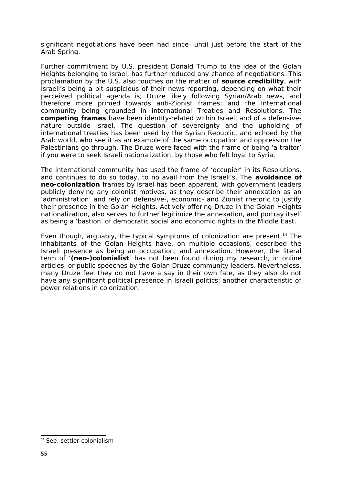significant negotiations have been had since- until just before the start of the Arab Spring.

Further commitment by U.S. president Donald Trump to the idea of the Golan Heights belonging to Israel, has further reduced any chance of negotiations. This proclamation by the U.S. also touches on the matter of **source credibility**, with Israeli's being a bit suspicious of their news reporting, depending on what their perceived political agenda is; Druze likely following Syrian/Arab news, and therefore more primed towards anti-Zionist frames; and the International community being grounded in international Treaties and Resolutions. The **competing frames** have been identity-related within Israel, and of a defensivenature outside Israel. The question of sovereignty and the upholding of international treaties has been used by the Syrian Republic, and echoed by the Arab world, who see it as an example of the same occupation and oppression the Palestinians go through. The Druze were faced with the frame of being 'a traitor' if you were to seek Israeli nationalization, by those who felt loyal to Syria.

The international community has used the frame of 'occupier' in its Resolutions, and continues to do so today, to no avail from the Israeli's. The **avoidance of neo-colonization** frames by Israel has been apparent, with government leaders publicly denying any colonist motives, as they describe their annexation as an 'administration' and rely on defensive-, economic- and Zionist rhetoric to justify their presence in the Golan Heights. Actively offering Druze in the Golan Heights nationalization, also serves to further legitimize the annexation, and portray itself as being a 'bastion' of democratic social and economic rights in the Middle East.

Even though, arguably, the typical symptoms of colonization are present,  $14$  The inhabitants of the Golan Heights have, on multiple occasions, described the Israeli presence as being an occupation, and annexation. However, the literal term of '**(neo-)colonialist**' has not been found during my research, in online articles, or public speeches by the Golan Druze community leaders. Nevertheless, many Druze feel they do not have a say in their own fate, as they also do not have any significant political presence in Israeli politics; another characteristic of power relations in colonization.

<span id="page-55-0"></span><sup>&</sup>lt;sup>14</sup> See: settler-colonialism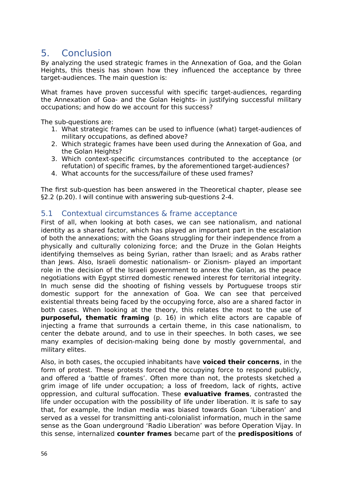# <span id="page-56-0"></span>5. Conclusion

By analyzing the used strategic frames in the Annexation of Goa, and the Golan Heights, this thesis has shown how they influenced the acceptance by three target-audiences. The main question is:

What frames have proven successful with specific target-audiences, regarding the Annexation of Goa- and the Golan Heights- in justifying successful military occupations; and how do we account for this success?

The sub-questions are:

- 1. What strategic frames can be used to influence (what) target-audiences of military occupations, as defined above?
- 2. Which strategic frames have been used during the Annexation of Goa, and the Golan Heights?
- 3. Which context-specific circumstances contributed to the acceptance (or refutation) of specific frames, by the aforementioned target-audiences?
- 4. What accounts for the success/failure of these used frames?

The first sub-question has been answered in the Theoretical chapter, please see §2.2 (p.20). I will continue with answering sub-questions 2-4.

#### <span id="page-56-1"></span>5.1 Contextual circumstances & frame acceptance

First of all, when looking at both cases, we can see nationalism, and national identity as a shared factor, which has played an important part in the escalation of both the annexations; with the Goans struggling for their independence from a physically and culturally colonizing force; and the Druze in the Golan Heights identifying themselves as being Syrian, rather than Israeli; and as Arabs rather than Jews. Also, Israeli domestic nationalism- or Zionism- played an important role in the decision of the Israeli government to annex the Golan, as the peace negotiations with Egypt stirred domestic renewed interest for territorial integrity. In much sense did the shooting of fishing vessels by Portuguese troops stir domestic support for the annexation of Goa. We can see that perceived existential threats being faced by the occupying force, also are a shared factor in both cases. When looking at the theory, this relates the most to the use of **purposeful, thematic framing** (p. 16) in which elite actors are capable of injecting a frame that surrounds a certain theme, in this case nationalism, to center the debate around, and to use in their speeches. In both cases, we see many examples of decision-making being done by mostly governmental, and military elites.

Also, in both cases, the occupied inhabitants have **voiced their concerns**, in the form of protest. These protests forced the occupying force to respond publicly, and offered a 'battle of frames'. Often more than not, the protests sketched a grim image of life under occupation; a loss of freedom, lack of rights, active oppression, and cultural suffocation. These **evaluative frames**, contrasted the life under occupation with the possibility of life under liberation. It is safe to say that, for example, the Indian media was biased towards Goan 'Liberation' and served as a vessel for transmitting anti-colonialist information, much in the same sense as the Goan underground 'Radio Liberation' was before Operation Vijay. In this sense, internalized **counter frames** became part of the **predispositions** of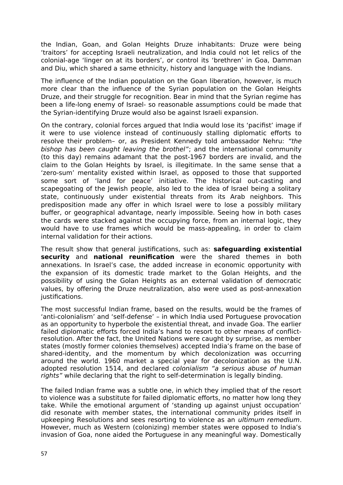the Indian, Goan, and Golan Heights Druze inhabitants: Druze were being 'traitors' for accepting Israeli neutralization, and India could not let relics of the colonial-age 'linger on at its borders', or control its 'brethren' in Goa, Damman and Diu, which shared a same ethnicity, history and language with the Indians.

The influence of the Indian population on the Goan liberation, however, is much more clear than the influence of the Syrian population on the Golan Heights Druze, and their struggle for recognition. Bear in mind that the Syrian regime has been a life-long enemy of Israel- so reasonable assumptions could be made that the Syrian-identifying Druze would also be against Israeli expansion.

On the contrary, colonial forces argued that India would lose its 'pacifist' image if it were to use violence instead of continuously stalling diplomatic efforts to resolve their problem– or, as President Kennedy told ambassador Nehru: "the bishop has been caught leaving the brothel"; and the international community (to this day) remains adamant that the post-1967 borders are invalid, and the claim to the Golan Heights by Israel, is illegitimate. In the same sense that a 'zero-sum' mentality existed within Israel, as opposed to those that supported some sort of 'land for peace' initiative. The historical out-casting and scapegoating of the Jewish people, also led to the idea of Israel being a solitary state, continuously under existential threats from its Arab neighbors. This predisposition made any offer in which Israel were to lose a possibly military buffer, or geographical advantage, nearly impossible. Seeing how in both cases the cards were stacked against the occupying force, from an internal logic, they would have to use frames which would be mass-appealing, in order to claim internal validation for their actions.

The result show that general justifications, such as: **safeguarding existential security** and **national reunification** were the shared themes in both annexations. In Israel's case, the added increase in economic opportunity with the expansion of its domestic trade market to the Golan Heights, and the possibility of using the Golan Heights as an external validation of democratic values, by offering the Druze neutralization, also were used as post-annexation iustifications.

The most successful Indian frame, based on the results, would be the frames of 'anti-colonialism' and 'self-defense' – in which India used Portuguese provocation as an opportunity to hyperbole the existential threat, and invade Goa. The earlier failed diplomatic efforts forced India's hand to resort to other means of conflictresolution. After the fact, the United Nations were caught by surprise, as member states (mostly former colonies themselves) accepted India's frame on the base of shared-identity, and the momentum by which decolonization was occurring around the world. 1960 market a special year for decolonization as the U.N. adopted resolution 1514, and declared colonialism "a serious abuse of human rights" while declaring that the right to self-determination is legally binding.

The failed Indian frame was a subtle one, in which they implied that of the resort to violence was a substitute for failed diplomatic efforts, no matter how long they take. While the emotional argument of 'standing up against unjust occupation' did resonate with member states, the international community prides itself in upkeeping Resolutions and sees resorting to violence as an ultimum remedium. However, much as Western (colonizing) member states were opposed to India's invasion of Goa, none aided the Portuguese in any meaningful way. Domestically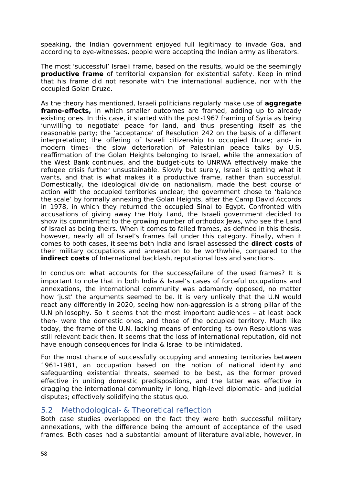speaking, the Indian government enjoyed full legitimacy to invade Goa, and according to eye-witnesses, people were accepting the Indian army as liberators.

The most 'successful' Israeli frame, based on the results, would be the seemingly **productive frame** of territorial expansion for existential safety. Keep in mind that his frame did not resonate with the international audience, nor with the occupied Golan Druze.

As the theory has mentioned, Israeli politicians regularly make use of **aggregate frame-effects,** in which smaller outcomes are framed, adding up to already existing ones. In this case, it started with the post-1967 framing of Syria as being 'unwilling to negotiate' peace for land, and thus presenting itself as the reasonable party; the 'acceptance' of Resolution 242 on the basis of a different interpretation; the offering of Israeli citizenship to occupied Druze; and- in modern times- the slow deterioration of Palestinian peace talks by U.S. reaffirmation of the Golan Heights belonging to Israel, while the annexation of the West Bank continues, and the budget-cuts to UNRWA effectively make the refugee crisis further unsustainable. Slowly but surely, Israel is getting what it wants, and that is what makes it a productive frame, rather than successful. Domestically, the ideological divide on nationalism, made the best course of action with the occupied territories unclear; the government chose to 'balance the scale' by formally annexing the Golan Heights, after the Camp David Accords in 1978, in which they returned the occupied Sinai to Egypt. Confronted with accusations of giving away the Holy Land, the Israeli government decided to show its commitment to the growing number of orthodox Jews, who see the Land of Israel as being theirs. When it comes to failed frames, as defined in this thesis, however, nearly all of Israel's frames fall under this category. Finally, when it comes to both cases, it seems both India and Israel assessed the **direct costs** of their military occupations and annexation to be worthwhile, compared to the **indirect costs** of International backlash, reputational loss and sanctions.

In conclusion: what accounts for the success/failure of the used frames? It is important to note that in both India & Israel's cases of forceful occupations and annexations, the international community was adamantly opposed, no matter how 'just' the arguments seemed to be. It is very unlikely that the U.N would react any differently in 2020, seeing how non-aggression is a strong pillar of the U.N philosophy. So it seems that the most important audiences – at least back then- were the domestic ones, and those of the occupied territory. Much like today, the frame of the U.N. lacking means of enforcing its own Resolutions was still relevant back then. It seems that the loss of international reputation, did not have enough consequences for India & Israel to be intimidated.

For the most chance of successfully occupying and annexing territories between 1961-1981, an occupation based on the notion of national identity and safeguarding existential threats, seemed to be best, as the former proved effective in uniting domestic predispositions, and the latter was effective in dragging the international community in long, high-level diplomatic- and judicial disputes; effectively solidifying the status quo.

#### <span id="page-58-0"></span>5.2 Methodological- & Theoretical reflection

Both case studies overlapped on the fact they were both successful military annexations, with the difference being the amount of acceptance of the used frames. Both cases had a substantial amount of literature available, however, in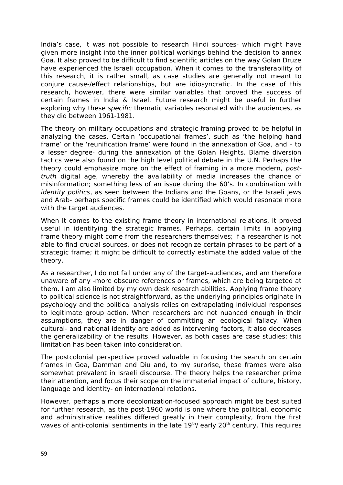India's case, it was not possible to research Hindi sources- which might have given more insight into the inner political workings behind the decision to annex Goa. It also proved to be difficult to find scientific articles on the way Golan Druze have experienced the Israeli occupation. When it comes to the transferability of this research, it is rather small, as case studies are generally not meant to conjure cause-/effect relationships, but are idiosyncratic. In the case of this research, however, there were similar variables that proved the success of certain frames in India & Israel. Future research might be useful in further exploring why these *specific* thematic variables resonated with the audiences, as they did between 1961-1981.

The theory on military occupations and strategic framing proved to be helpful in analyzing the cases. Certain 'occupational frames', such as 'the helping hand frame' or the 'reunification frame' were found in the annexation of Goa, and – to a lesser degree- during the annexation of the Golan Heights. Blame diversion tactics were also found on the high level political debate in the U.N. Perhaps the theory could emphasize more on the effect of framing in a more modern, posttruth digital age, whereby the availability of media increases the chance of misinformation; something less of an issue during the 60's. In combination with identity politics, as seen between the Indians and the Goans, or the Israeli Jews and Arab- perhaps specific frames could be identified which would resonate more with the target audiences.

When It comes to the existing frame theory in international relations, it proved useful in identifying the strategic frames. Perhaps, certain limits in applying frame theory might come from the researchers themselves; if a researcher is not able to find crucial sources, or does not recognize certain phrases to be part of a strategic frame; it might be difficult to correctly estimate the added value of the theory.

As a researcher, I do not fall under any of the target-audiences, and am therefore unaware of any -more obscure references or frames, which are being targeted at them. I am also limited by my own desk research abilities. Applying frame theory to political science is not straightforward, as the underlying principles originate in psychology and the political analysis relies on extrapolating individual responses to legitimate group action. When researchers are not nuanced enough in their assumptions, they are in danger of committing an ecological fallacy. When cultural- and national identity are added as intervening factors, it also decreases the generalizability of the results. However, as both cases are case studies; this limitation has been taken into consideration.

The postcolonial perspective proved valuable in focusing the search on certain frames in Goa, Damman and Diu and, to my surprise, these frames were also somewhat prevalent in Israeli discourse. The theory helps the researcher prime their attention, and focus their scope on the immaterial impact of culture, history, language and identity- on international relations.

However, perhaps a more decolonization-focused approach might be best suited for further research, as the post-1960 world is one where the political, economic and administrative realities differed greatly in their complexity, from the first waves of anti-colonial sentiments in the late  $19<sup>th</sup>$  early 20<sup>th</sup> century. This requires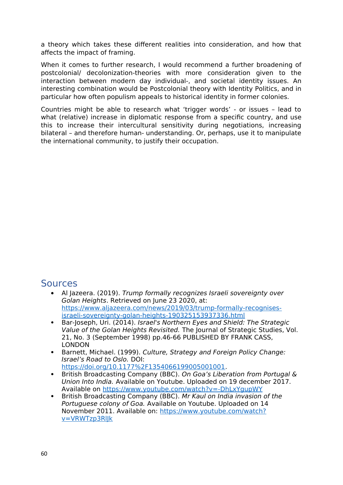a theory which takes these different realities into consideration, and how that affects the impact of framing.

When it comes to further research, I would recommend a further broadening of postcolonial/ decolonization-theories with more consideration given to the interaction between modern day individual-, and societal identity issues. An interesting combination would be Postcolonial theory with Identity Politics, and in particular how often populism appeals to historical identity in former colonies.

Countries might be able to research what 'trigger words' - or issues – lead to what (relative) increase in diplomatic response from a specific country, and use this to increase their intercultural sensitivity during negotiations, increasing bilateral – and therefore human- understanding. Or, perhaps, use it to manipulate the international community, to justify their occupation.

## <span id="page-60-0"></span>Sources

- Al Jazeera. (2019). Trump formally recognizes Israeli sovereignty over Golan Heights. Retrieved on June 23 2020, at: [https://www.aljazeera.com/news/2019/03/trump-formally-recognises](https://www.aljazeera.com/news/2019/03/trump-formally-recognises-israeli-sovereignty-golan-heights-190325153937336.html)[israeli-sovereignty-golan-heights-190325153937336.html](https://www.aljazeera.com/news/2019/03/trump-formally-recognises-israeli-sovereignty-golan-heights-190325153937336.html)
- Bar-Joseph, Uri. (2014). Israel's Northern Eyes and Shield: The Strategic Value of the Golan Heights Revisited. The Journal of Strategic Studies, Vol. 21, No. 3 (September 1998) pp.46-66 PUBLISHED BY FRANK CASS, LONDON
- Barnett, Michael. (1999). Culture, Strategy and Foreign Policy Change: Israel's Road to Oslo. DOI: <https://doi.org/10.1177%2F1354066199005001001>.
- British Broadcasting Company (BBC). On Goa's Liberation from Portugal & Union Into India. Available on Youtube. Uploaded on 19 december 2017. Available on<https://www.youtube.com/watch?v=-DhLxYgupWY>
- British Broadcasting Company (BBC). Mr Kaul on India invasion of the Portuguese colony of Goa. Available on Youtube. Uploaded on 14 November 2011. Available on: [https://www.youtube.com/watch?](https://www.youtube.com/watch?v=VRWTzp3RlJk) [v=VRWTzp3RlJk](https://www.youtube.com/watch?v=VRWTzp3RlJk)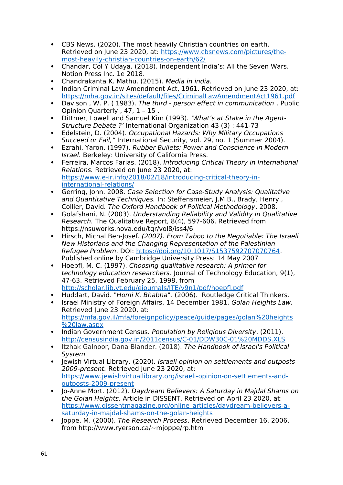- CBS News. (2020). The most heavily Christian countries on earth. Retrieved on June 23 2020, at: [https://www.cbsnews.com/pictures/the](https://www.cbsnews.com/pictures/the-most-heavily-christian-countries-on-earth/62/)[most-heavily-christian-countries-on-earth/62/](https://www.cbsnews.com/pictures/the-most-heavily-christian-countries-on-earth/62/)
- Chandar, Col Y Udaya. (2018). Independent India's: All the Seven Wars. Notion Press Inc. 1e 2018.
- Chandrakanta K. Mathu. (2015). Media in india.
- Indian Criminal Law Amendment Act, 1961. Retrieved on June 23 2020, at: <https://mha.gov.in/sites/default/files/CriminalLawAmendmentAct1961.pdf>
- Davison, W. P. (1983). The third person effect in communication. Public Opinion Quarterly , 47, 1 – 15 .
- Dittmer, Lowell and Samuel Kim (1993). 'What's at Stake in the Agent-Structure Debate ?' International Organization 43 (3) : 441-73
- Edelstein, D. (2004). Occupational Hazards: Why Military Occupations Succeed or Fail," International Security, vol. 29, no. 1 (Summer 2004).
- Ezrahi, Yaron. (1997). Rubber Bullets: Power and Conscience in Modern Israel. Berkeley: University of California Press.
- Ferreira, Marcos Farias. (2018). Introducing Critical Theory in International Relations. Retrieved on June 23 2020, at: [https://www.e-ir.info/2018/02/18/introducing-critical-theory-in](https://www.e-ir.info/2018/02/18/introducing-critical-theory-in-international-relations/)[international-relations/](https://www.e-ir.info/2018/02/18/introducing-critical-theory-in-international-relations/)
- Gerring, John. 2008. Case Selection for Case-Study Analysis: Qualitative and Quantitative Techniques. In: Steffensmeier, J.M.B., Brady, Henry., Collier, David. The Oxford Handbook of Political Methodology. 2008.
- Golafshani, N. (2003). Understanding Reliability and Validity in Qualitative Research. The Qualitative Report, 8(4), 597-606. Retrieved from https://nsuworks.nova.edu/tqr/vol8/iss4/6
- Hirsch, Michal Ben-Josef. (2007). From Taboo to the Negotiable: The Israeli New Historians and the Changing Representation of the Palestinian Refugee Problem. DOI:<https://doi.org/10.1017/S1537592707070764>. Published online by Cambridge University Press: 14 May 2007
- Hoepfl, M. C. (1997). Choosing qualitative research: A primer for technology education researchers. Journal of Technology Education, 9(1), 47-63. Retrieved February 25, 1998, from <http://scholar.lib.vt.edu/ejournals/JTE/v9n1/pdf/hoepfl.pdf>
- Huddart, David. "Homi K. Bhabha". (2006). Routledge Critical Thinkers.
- Israel Ministry of Foreign Affairs. 14 December 1981. Golan Heights Law. Retrieved June 23 2020, at: [https://mfa.gov.il/mfa/foreignpolicy/peace/guide/pages/golan%20heights](https://mfa.gov.il/mfa/foreignpolicy/peace/guide/pages/golan%20heights%20law.aspx) [%20law.aspx](https://mfa.gov.il/mfa/foreignpolicy/peace/guide/pages/golan%20heights%20law.aspx)
- Indian Government Census. Population by Religious Diversity. (2011). <http://censusindia.gov.in/2011census/C-01/DDW30C-01%20MDDS.XLS>
- Itzhak Galnoor, Dana Blander. (2018). The Handbook of Israel's Political System
- Jewish Virtual Library. (2020). Israeli opinion on settlements and outposts 2009-present. Retrieved June 23 2020, at: [https://www.jewishvirtuallibrary.org/israeli-opinion-on-settlements-and](https://www.jewishvirtuallibrary.org/israeli-opinion-on-settlements-and-outposts-2009-present)[outposts-2009-present](https://www.jewishvirtuallibrary.org/israeli-opinion-on-settlements-and-outposts-2009-present)
- Jo-Anne Mort. (2012). Daydream Believers: A Saturday in Majdal Shams on the Golan Heights. Article in DISSENT. Retrieved on April 23 2020, at: [https://www.dissentmagazine.org/online\\_articles/daydream-believers-a](https://www.dissentmagazine.org/online_articles/daydream-believers-a-saturday-in-majdal-shams-on-the-golan-heights)[saturday-in-majdal-shams-on-the-golan-heights](https://www.dissentmagazine.org/online_articles/daydream-believers-a-saturday-in-majdal-shams-on-the-golan-heights)
- Joppe, M. (2000). The Research Process. Retrieved December 16, 2006, from http://www.ryerson.ca/~mjoppe/rp.htm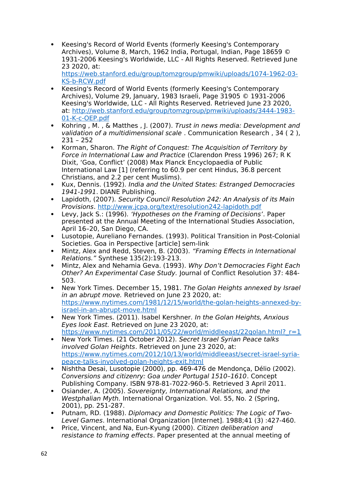Keesing's Record of World Events (formerly Keesing's Contemporary Archives), Volume 8, March, 1962 India, Portugal, Indian, Page 18659 © 1931-2006 Keesing's Worldwide, LLC - All Rights Reserved. Retrieved June 23 2020, at:

[https://web.stanford.edu/group/tomzgroup/pmwiki/uploads/1074-1962-03-](https://web.stanford.edu/group/tomzgroup/pmwiki/uploads/1074-1962-03-KS-b-RCW.pdf) [KS-b-RCW.pdf](https://web.stanford.edu/group/tomzgroup/pmwiki/uploads/1074-1962-03-KS-b-RCW.pdf)

- Keesing's Record of World Events (formerly Keesing's Contemporary Archives), Volume 29, January, 1983 Israeli, Page 31905 © 1931-2006 Keesing's Worldwide, LLC - All Rights Reserved. Retrieved June 23 2020, at: [http://web.stanford.edu/group/tomzgroup/pmwiki/uploads/3444-1983-](http://web.stanford.edu/group/tomzgroup/pmwiki/uploads/3444-1983-01-K-c-OEP.pdf) [01-K-c-OEP.pdf](http://web.stanford.edu/group/tomzgroup/pmwiki/uploads/3444-1983-01-K-c-OEP.pdf)
- Kohring , M. , & Matthes , J. (2007). Trust in news media: Development and validation of a multidimensional scale . Communication Research , 34 ( 2 ), 231 – 252
- Korman, Sharon. The Right of Conquest: The Acquisition of Territory by Force in International Law and Practice (Clarendon Press 1996) 267; R K Dixit, 'Goa, Conflict' (2008) Max Planck Encyclopaedia of Public International Law [1] (referring to 60.9 per cent Hindus, 36.8 percent Christians, and 2.2 per cent Muslims).
- Kux, Dennis. (1992). India and the United States: Estranged Democracies 1941-1991. DIANE Publishing.
- Lapidoth, (2007). Security Council Resolution 242: An Analysis of its Main Provisions. <http://www.jcpa.org/text/resolution242-lapidoth.pdf>
- Levy, Jack S.: (1996). 'Hypotheses on the Framing of Decisions'. Paper presented at the Annual Meeting of the International Studies Association, April 16–20, San Diego, CA.
- Lusotopie, Aureliano Fernandes. (1993). Political Transition in Post-Colonial Societies. Goa in Perspective [article] sem-link
- Mintz, Alex and Redd, Steven, B. (2003). "Framing Effects in International Relations." Synthese 135(2):193-213.
- Mintz, Alex and Nehamia Geva. (1993). Why Don't Democracies Fight Each Other? An Experimental Case Study. Journal of Conflict Resolution 37: 484- 503.
- New York Times. December 15, 1981. The Golan Heights annexed by Israel in an abrupt move. Retrieved on June 23 2020, at: [https://www.nytimes.com/1981/12/15/world/the-golan-heights-annexed-by](https://www.nytimes.com/1981/12/15/world/the-golan-heights-annexed-by-israel-in-an-abrupt-move.html)[israel-in-an-abrupt-move.html](https://www.nytimes.com/1981/12/15/world/the-golan-heights-annexed-by-israel-in-an-abrupt-move.html)
- New York Times. (2011). Isabel Kershner. In the Golan Heights, Anxious Eyes look East. Retrieved on June 23 2020, at: https://www.nytimes.com/2011/05/22/world/middleeast/22golan.html? r=1
- New York Times. (21 October 2012). Secret Israel Syrian Peace talks involved Golan Heights. Retrieved on June 23 2020, at: [https://www.nytimes.com/2012/10/13/world/middleeast/secret-israel-syria](https://www.nytimes.com/2012/10/13/world/middleeast/secret-israel-syria-peace-talks-involved-golan-heights-exit.html)[peace-talks-involved-golan-heights-exit.html](https://www.nytimes.com/2012/10/13/world/middleeast/secret-israel-syria-peace-talks-involved-golan-heights-exit.html)
- Nishtha Desai, Lusotopie (2000), pp. 469-476 de Mendonça, Délio (2002). Conversions and citizenry: Goa under Portugal 1510–1610. Concept Publishing Company. ISBN 978-81-7022-960-5. Retrieved 3 April 2011.
- Osiander, A. (2005). Sovereignty, International Relations, and the Westphalian Myth. International Organization. Vol. 55, No. 2 (Spring, 2001), pp. 251-287.
- Putnam, RD. (1988). Diplomacy and Domestic Politics: The Logic of Two-Level Games. International Organization [Internet]. 1988;41 (3) :427-460.
- Price, Vincent, and Na, Eun-Kyung (2000). Citizen deliberation and resistance to framing effects. Paper presented at the annual meeting of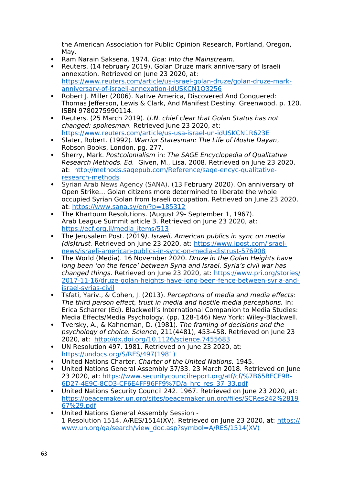the American Association for Public Opinion Research, Portland, Oregon, May.

- Ram Narain Saksena. 1974. Goa: Into the Mainstream.
- Reuters. (14 february 2019). Golan Druze mark anniversary of Israeli annexation. Retrieved on June 23 2020, at: [https://www.reuters.com/article/us-israel-golan-druze/golan-druze-mark](https://www.reuters.com/article/us-israel-golan-druze/golan-druze-mark-anniversary-of-israeli-annexation-idUSKCN1Q3256)[anniversary-of-israeli-annexation-idUSKCN1Q3256](https://www.reuters.com/article/us-israel-golan-druze/golan-druze-mark-anniversary-of-israeli-annexation-idUSKCN1Q3256)
- Robert J. Miller (2006). Native America, Discovered And Conquered: Thomas Jefferson, Lewis & Clark, And Manifest Destiny. Greenwood. p. 120. ISBN 9780275990114.
- Reuters. (25 March 2019). U.N. chief clear that Golan Status has not changed: spokesman. Retrieved June 23 2020, at: <https://www.reuters.com/article/us-usa-israel-un-idUSKCN1R623E>
- Slater, Robert. (1992). Warrior Statesman: The Life of Moshe Dayan, Robson Books, London, pg. 277.
- Sherry, Mark. Postcolonialism in: The SAGE Encyclopedia of Qualitative Research Methods. Ed. Given, M., Lisa. 2008. Retrieved on June 23 2020, at: http://methods.sagepub.com/Reference/sage-encyc-qualitativeresearch-methods
- Syrian Arab News Agency (SANA). (13 February 2020). On anniversary of Open Strike… Golan citizens more determined to liberate the whole occupied Syrian Golan from Israeli occupation. Retrieved on June 23 2020, at:<https://www.sana.sy/en/?p=185312>
- The Khartoum Resolutions. (August 29- September 1, 1967). Arab League Summit article 3. Retrieved on June 23 2020, at: [https://ecf.org.il/media\\_items/513](https://ecf.org.il/media_items/513)
- The Jerusalem Post. (2019). Israeli, American publics in sync on media (dis)trust. Retrieved on June 23 2020, at: [https://www.jpost.com/israel](https://www.jpost.com/israel-news/israeli-american-publics-in-sync-on-media-distrust-576908)[news/israeli-american-publics-in-sync-on-media-distrust-576908](https://www.jpost.com/israel-news/israeli-american-publics-in-sync-on-media-distrust-576908)
- The World (Media). 16 November 2020. Druze in the Golan Heights have long been 'on the fence' between Syria and Israel. Syria's civil war has changed things. Retrieved on June 23 2020, at: [https://www.pri.org/stories/](https://www.pri.org/stories/2017-11-16/druze-golan-heights-have-long-been-fence-between-syria-and-israel-syrias-civil) [2017-11-16/druze-golan-heights-have-long-been-fence-between-syria-and](https://www.pri.org/stories/2017-11-16/druze-golan-heights-have-long-been-fence-between-syria-and-israel-syrias-civil)[israel-syrias-civil](https://www.pri.org/stories/2017-11-16/druze-golan-heights-have-long-been-fence-between-syria-and-israel-syrias-civil)
- Tsfati, Yariv., & Cohen, J. (2013). Perceptions of media and media effects: The third person effect, trust in media and hostile media perceptions. In: Erica Scharrer (Ed). Blackwell's International Companion to Media Studies: Media Effects/Media Psychology. (pp. 128-146) New York: Wiley-Blackwell.
- Tversky, A., & Kahneman, D. (1981). The framing of decisions and the psychology of choice. Science, 211(4481), 453-458. Retrieved on June 23 2020, at: <http://dx.doi.org/10.1126/science.7455683>
- UN Resolution 497. 1981. Retrieved on June 23 2020, at: [https://undocs.org/S/RES/497\(1981\)](https://undocs.org/S/RES/497(1981))
- United Nations Charter. Charter of the United Nations. 1945.
- United Nations General Assembly 37/33. 23 March 2018. Retrieved on June 23 2020, at: [https://www.securitycouncilreport.org/atf/cf/%7B65BFCF9B-](https://www.securitycouncilreport.org/atf/cf/%7B65BFCF9B-6D27-4E9C-8CD3-CF6E4FF96FF9%7D/a_hrc_res_37_33.pdf)[6D27-4E9C-8CD3-CF6E4FF96FF9%7D/a\\_hrc\\_res\\_37\\_33.pdf](https://www.securitycouncilreport.org/atf/cf/%7B65BFCF9B-6D27-4E9C-8CD3-CF6E4FF96FF9%7D/a_hrc_res_37_33.pdf)
- United Nations Security Council 242. 1967. Retrieved on June 23 2020, at: [https://peacemaker.un.org/sites/peacemaker.un.org/files/SCRes242%2819](https://peacemaker.un.org/sites/peacemaker.un.org/files/SCRes242(1967).pdf) [67%29.pdf](https://peacemaker.un.org/sites/peacemaker.un.org/files/SCRes242(1967).pdf)
- United Nations General Assembly Session 1 Resolution 1514. A/RES/1514(XV). Retrieved on June 23 2020, at: [https://](https://www.un.org/ga/search/view_doc.asp?symbol=A/RES/1514(XV)) [www.un.org/ga/search/view\\_doc.asp?symbol=A/RES/1514\(XV\)](https://www.un.org/ga/search/view_doc.asp?symbol=A/RES/1514(XV))